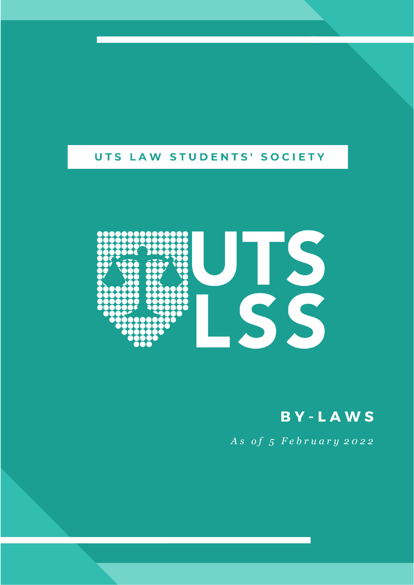# UTS LAW STUDENTS' SOCIETY



**BY-LAWS** 

*A s o f 5 F e b r u a r y 2 0 2 2*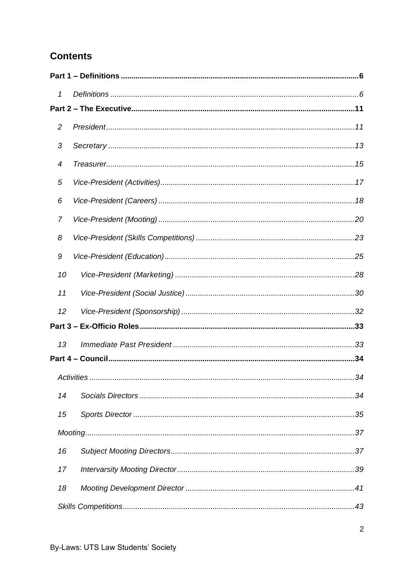## **Contents**

| 1              |  |
|----------------|--|
|                |  |
| $\overline{c}$ |  |
| 3              |  |
| 4              |  |
| 5              |  |
| 6              |  |
| 7              |  |
| 8              |  |
| 9              |  |
| 10             |  |
| 11             |  |
| 12             |  |
|                |  |
| 13             |  |
|                |  |
|                |  |
| 14             |  |
| 15             |  |
|                |  |
| 16             |  |
| 17             |  |
| 18             |  |
|                |  |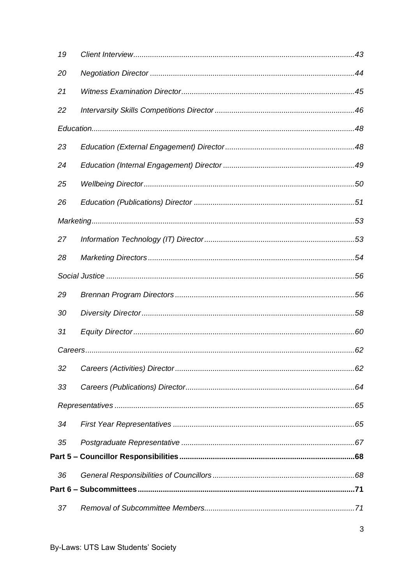| 19 |  |  |
|----|--|--|
| 20 |  |  |
| 21 |  |  |
| 22 |  |  |
|    |  |  |
| 23 |  |  |
| 24 |  |  |
| 25 |  |  |
| 26 |  |  |
|    |  |  |
| 27 |  |  |
| 28 |  |  |
|    |  |  |
| 29 |  |  |
| 30 |  |  |
| 31 |  |  |
|    |  |  |
| 32 |  |  |
| 33 |  |  |
|    |  |  |
| 34 |  |  |
| 35 |  |  |
|    |  |  |
| 36 |  |  |
|    |  |  |
| 37 |  |  |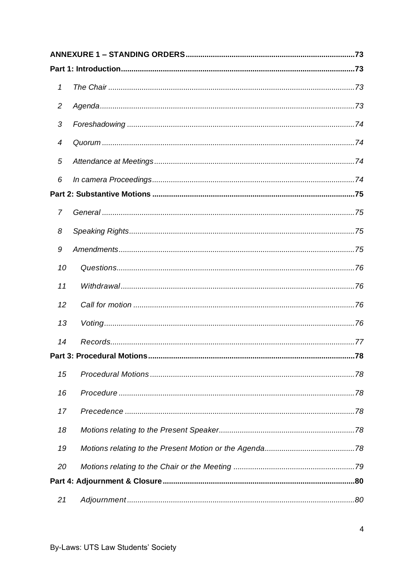| 1              |  |
|----------------|--|
| $\overline{2}$ |  |
| 3              |  |
| 4              |  |
| 5              |  |
| 6              |  |
|                |  |
| 7              |  |
| 8              |  |
| 9              |  |
| 10             |  |
| 11             |  |
| 12             |  |
| 13             |  |
| 14             |  |
|                |  |
| 15             |  |
| 16             |  |
| 17             |  |
| 18             |  |
| 19             |  |
| 20             |  |
|                |  |
| 21             |  |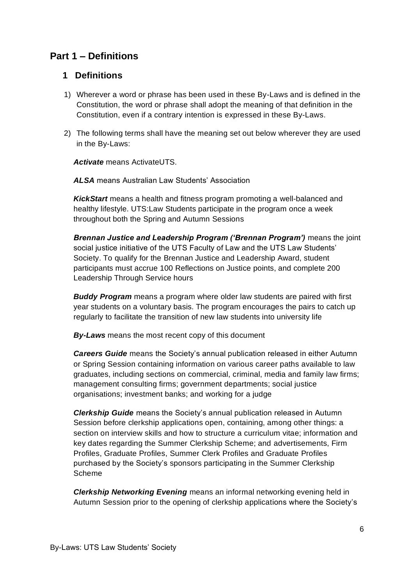## <span id="page-5-0"></span>**Part 1 – Definitions**

#### <span id="page-5-1"></span>**1 Definitions**

- 1) Wherever a word or phrase has been used in these By-Laws and is defined in the Constitution, the word or phrase shall adopt the meaning of that definition in the Constitution, even if a contrary intention is expressed in these By-Laws.
- 2) The following terms shall have the meaning set out below wherever they are used in the By-Laws:

*Activate* means ActivateUTS.

*ALSA* means Australian Law Students' Association

*KickStart* means a health and fitness program promoting a well-balanced and healthy lifestyle. UTS:Law Students participate in the program once a week throughout both the Spring and Autumn Sessions

*Brennan Justice and Leadership Program ('Brennan Program')* means the joint social justice initiative of the UTS Faculty of Law and the UTS Law Students' Society. To qualify for the Brennan Justice and Leadership Award, student participants must accrue 100 Reflections on Justice points, and complete 200 Leadership Through Service hours

*Buddy Program* means a program where older law students are paired with first year students on a voluntary basis. The program encourages the pairs to catch up regularly to facilitate the transition of new law students into university life

*By-Laws* means the most recent copy of this document

*Careers Guide* means the Society's annual publication released in either Autumn or Spring Session containing information on various career paths available to law graduates, including sections on commercial, criminal, media and family law firms; management consulting firms; government departments; social justice organisations; investment banks; and working for a judge

*Clerkship Guide* means the Society's annual publication released in Autumn Session before clerkship applications open, containing, among other things: a section on interview skills and how to structure a curriculum vitae; information and key dates regarding the Summer Clerkship Scheme; and advertisements, Firm Profiles, Graduate Profiles, Summer Clerk Profiles and Graduate Profiles purchased by the Society's sponsors participating in the Summer Clerkship Scheme

*Clerkship Networking Evening* means an informal networking evening held in Autumn Session prior to the opening of clerkship applications where the Society's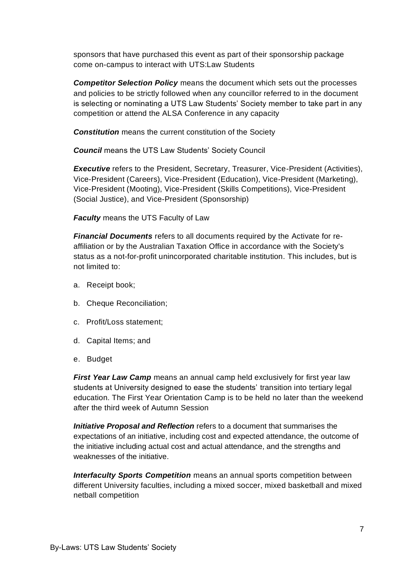sponsors that have purchased this event as part of their sponsorship package come on-campus to interact with UTS:Law Students

*Competitor Selection Policy* means the document which sets out the processes and policies to be strictly followed when any councillor referred to in the document is selecting or nominating a UTS Law Students' Society member to take part in any competition or attend the ALSA Conference in any capacity

*Constitution* means the current constitution of the Society

*Council* means the UTS Law Students' Society Council

*Executive* refers to the President, Secretary, Treasurer, Vice-President (Activities), Vice-President (Careers), Vice-President (Education), Vice-President (Marketing), Vice-President (Mooting), Vice-President (Skills Competitions), Vice-President (Social Justice), and Vice-President (Sponsorship)

*Faculty* means the UTS Faculty of Law

*Financial Documents* refers to all documents required by the Activate for reaffiliation or by the Australian Taxation Office in accordance with the Society's status as a not-for-profit unincorporated charitable institution. This includes, but is not limited to:

- a. Receipt book;
- b. Cheque Reconciliation;
- c. Profit/Loss statement;
- d. Capital Items; and
- e. Budget

*First Year Law Camp* means an annual camp held exclusively for first year law students at University designed to ease the students' transition into tertiary legal education. The First Year Orientation Camp is to be held no later than the weekend after the third week of Autumn Session

*Initiative Proposal and Reflection* refers to a document that summarises the expectations of an initiative, including cost and expected attendance, the outcome of the initiative including actual cost and actual attendance, and the strengths and weaknesses of the initiative.

*Interfaculty Sports Competition* means an annual sports competition between different University faculties, including a mixed soccer, mixed basketball and mixed netball competition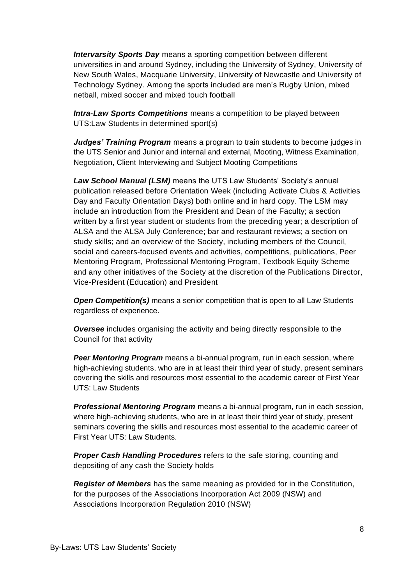*Intervarsity Sports Day* means a sporting competition between different universities in and around Sydney, including the University of Sydney, University of New South Wales, Macquarie University, University of Newcastle and University of Technology Sydney. Among the sports included are men's Rugby Union, mixed netball, mixed soccer and mixed touch football

*Intra-Law Sports Competitions* means a competition to be played between UTS:Law Students in determined sport(s)

*Judges' Training Program* means a program to train students to become judges in the UTS Senior and Junior and internal and external, Mooting, Witness Examination, Negotiation, Client Interviewing and Subject Mooting Competitions

*Law School Manual (LSM)* means the UTS Law Students' Society's annual publication released before Orientation Week (including Activate Clubs & Activities Day and Faculty Orientation Days) both online and in hard copy. The LSM may include an introduction from the President and Dean of the Faculty; a section written by a first year student or students from the preceding year; a description of ALSA and the ALSA July Conference; bar and restaurant reviews; a section on study skills; and an overview of the Society, including members of the Council, social and careers-focused events and activities, competitions, publications, Peer Mentoring Program, Professional Mentoring Program, Textbook Equity Scheme and any other initiatives of the Society at the discretion of the Publications Director, Vice-President (Education) and President

*Open Competition(s)* means a senior competition that is open to all Law Students regardless of experience.

*Oversee* includes organising the activity and being directly responsible to the Council for that activity

*Peer Mentoring Program* means a bi-annual program, run in each session, where high-achieving students, who are in at least their third year of study, present seminars covering the skills and resources most essential to the academic career of First Year UTS: Law Students

*Professional Mentoring Program* means a bi-annual program, run in each session, where high-achieving students, who are in at least their third year of study, present seminars covering the skills and resources most essential to the academic career of First Year UTS: Law Students.

*Proper Cash Handling Procedures* refers to the safe storing, counting and depositing of any cash the Society holds

*Register of Members* has the same meaning as provided for in the Constitution, for the purposes of the Associations Incorporation Act 2009 (NSW) and Associations Incorporation Regulation 2010 (NSW)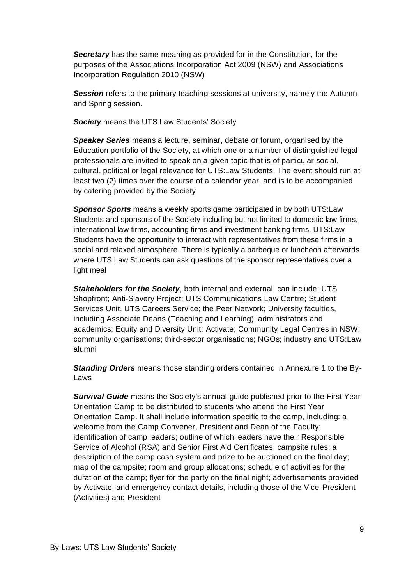*Secretary* has the same meaning as provided for in the Constitution, for the purposes of the Associations Incorporation Act 2009 (NSW) and Associations Incorporation Regulation 2010 (NSW)

**Session** refers to the primary teaching sessions at university, namely the Autumn and Spring session.

*Society* means the UTS Law Students' Society

*Speaker Series* means a lecture, seminar, debate or forum, organised by the Education portfolio of the Society, at which one or a number of distinguished legal professionals are invited to speak on a given topic that is of particular social, cultural, political or legal relevance for UTS:Law Students. The event should run at least two (2) times over the course of a calendar year, and is to be accompanied by catering provided by the Society

*Sponsor Sports* means a weekly sports game participated in by both UTS:Law Students and sponsors of the Society including but not limited to domestic law firms, international law firms, accounting firms and investment banking firms. UTS:Law Students have the opportunity to interact with representatives from these firms in a social and relaxed atmosphere. There is typically a barbeque or luncheon afterwards where UTS:Law Students can ask questions of the sponsor representatives over a light meal

*Stakeholders for the Society*, both internal and external, can include: UTS Shopfront; Anti-Slavery Project; UTS Communications Law Centre; Student Services Unit, UTS Careers Service; the Peer Network; University faculties, including Associate Deans (Teaching and Learning), administrators and academics; Equity and Diversity Unit; Activate; Community Legal Centres in NSW; community organisations; third-sector organisations; NGOs; industry and UTS:Law alumni

**Standing Orders** means those standing orders contained in Annexure 1 to the By-Laws

*Survival Guide* means the Society's annual guide published prior to the First Year Orientation Camp to be distributed to students who attend the First Year Orientation Camp. It shall include information specific to the camp, including: a welcome from the Camp Convener, President and Dean of the Faculty; identification of camp leaders; outline of which leaders have their Responsible Service of Alcohol (RSA) and Senior First Aid Certificates; campsite rules; a description of the camp cash system and prize to be auctioned on the final day; map of the campsite; room and group allocations; schedule of activities for the duration of the camp; flyer for the party on the final night; advertisements provided by Activate; and emergency contact details, including those of the Vice-President (Activities) and President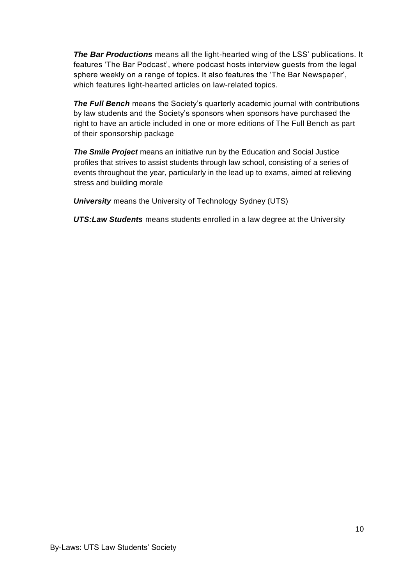*The Bar Productions* means all the light-hearted wing of the LSS' publications. It features 'The Bar Podcast', where podcast hosts interview guests from the legal sphere weekly on a range of topics. It also features the 'The Bar Newspaper', which features light-hearted articles on law-related topics.

**The Full Bench** means the Society's quarterly academic journal with contributions by law students and the Society's sponsors when sponsors have purchased the right to have an article included in one or more editions of The Full Bench as part of their sponsorship package

*The Smile Project* means an initiative run by the Education and Social Justice profiles that strives to assist students through law school, consisting of a series of events throughout the year, particularly in the lead up to exams, aimed at relieving stress and building morale

*University* means the University of Technology Sydney (UTS)

*UTS:Law Students* means students enrolled in a law degree at the University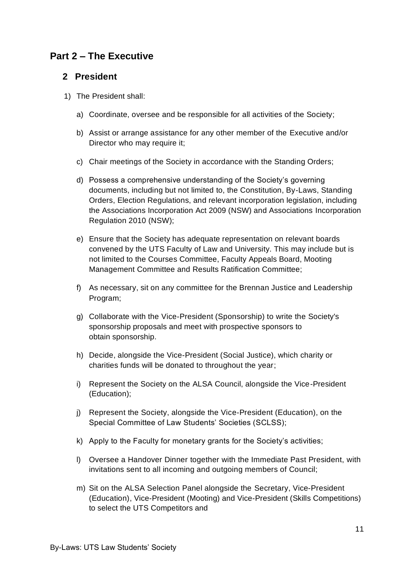## <span id="page-10-0"></span>**Part 2 – The Executive**

#### <span id="page-10-1"></span>**2 President**

- 1) The President shall:
	- a) Coordinate, oversee and be responsible for all activities of the Society;
	- b) Assist or arrange assistance for any other member of the Executive and/or Director who may require it;
	- c) Chair meetings of the Society in accordance with the Standing Orders;
	- d) Possess a comprehensive understanding of the Society's governing documents, including but not limited to, the Constitution, By-Laws, Standing Orders, Election Regulations, and relevant incorporation legislation, including the Associations Incorporation Act 2009 (NSW) and Associations Incorporation Regulation 2010 (NSW);
	- e) Ensure that the Society has adequate representation on relevant boards convened by the UTS Faculty of Law and University. This may include but is not limited to the Courses Committee, Faculty Appeals Board, Mooting Management Committee and Results Ratification Committee;
	- f) As necessary, sit on any committee for the Brennan Justice and Leadership Program;
	- g) Collaborate with the Vice-President (Sponsorship) to write the Society's sponsorship proposals and meet with prospective sponsors to obtain sponsorship.
	- h) Decide, alongside the Vice-President (Social Justice), which charity or charities funds will be donated to throughout the year;
	- i) Represent the Society on the ALSA Council, alongside the Vice-President (Education);
	- j) Represent the Society, alongside the Vice-President (Education), on the Special Committee of Law Students' Societies (SCLSS);
	- k) Apply to the Faculty for monetary grants for the Society's activities;
	- l) Oversee a Handover Dinner together with the Immediate Past President, with invitations sent to all incoming and outgoing members of Council;
	- m) Sit on the ALSA Selection Panel alongside the Secretary, Vice-President (Education), Vice-President (Mooting) and Vice-President (Skills Competitions) to select the UTS Competitors and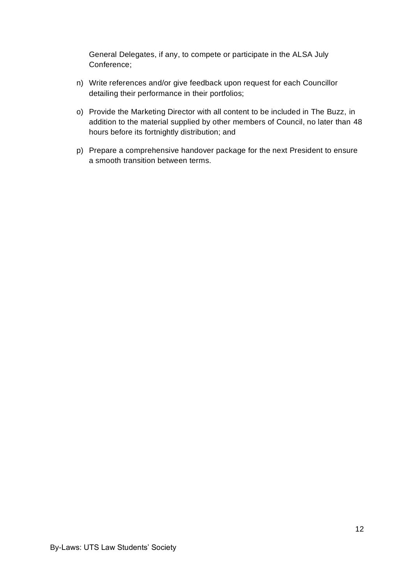General Delegates, if any, to compete or participate in the ALSA July Conference;

- n) Write references and/or give feedback upon request for each Councillor detailing their performance in their portfolios;
- o) Provide the Marketing Director with all content to be included in The Buzz, in addition to the material supplied by other members of Council, no later than 48 hours before its fortnightly distribution; and
- p) Prepare a comprehensive handover package for the next President to ensure a smooth transition between terms.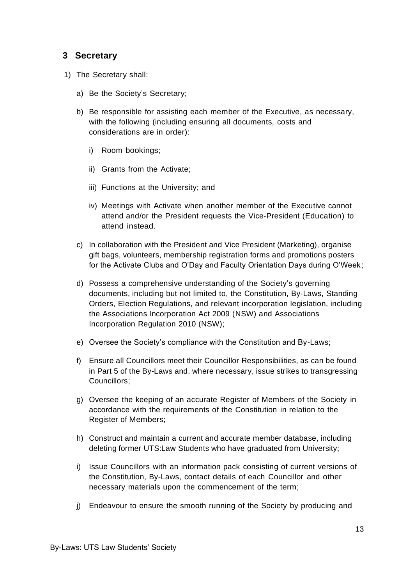#### <span id="page-12-0"></span>**3 Secretary**

- 1) The Secretary shall:
	- a) Be the Society's Secretary;
	- b) Be responsible for assisting each member of the Executive, as necessary, with the following (including ensuring all documents, costs and considerations are in order):
		- i) Room bookings;
		- ii) Grants from the Activate;
		- iii) Functions at the University; and
		- iv) Meetings with Activate when another member of the Executive cannot attend and/or the President requests the Vice-President (Education) to attend instead.
	- c) In collaboration with the President and Vice President (Marketing), organise gift bags, volunteers, membership registration forms and promotions posters for the Activate Clubs and O'Day and Faculty Orientation Days during O'Week;
	- d) Possess a comprehensive understanding of the Society's governing documents, including but not limited to, the Constitution, By-Laws, Standing Orders, Election Regulations, and relevant incorporation legislation, including the Associations Incorporation Act 2009 (NSW) and Associations Incorporation Regulation 2010 (NSW);
	- e) Oversee the Society's compliance with the Constitution and By-Laws;
	- f) Ensure all Councillors meet their Councillor Responsibilities, as can be found in Part 5 of the By-Laws and, where necessary, issue strikes to transgressing Councillors;
	- g) Oversee the keeping of an accurate Register of Members of the Society in accordance with the requirements of the Constitution in relation to the Register of Members;
	- h) Construct and maintain a current and accurate member database, including deleting former UTS:Law Students who have graduated from University;
	- i) Issue Councillors with an information pack consisting of current versions of the Constitution, By-Laws, contact details of each Councillor and other necessary materials upon the commencement of the term;
	- j) Endeavour to ensure the smooth running of the Society by producing and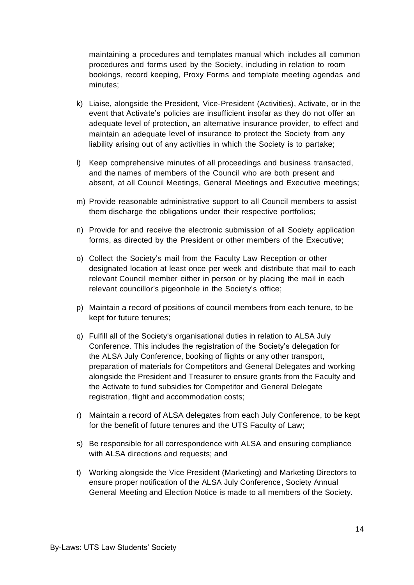maintaining a procedures and templates manual which includes all common procedures and forms used by the Society, including in relation to room bookings, record keeping, Proxy Forms and template meeting agendas and minutes;

- k) Liaise, alongside the President, Vice-President (Activities), Activate, or in the event that Activate's policies are insufficient insofar as they do not offer an adequate level of protection, an alternative insurance provider, to effect and maintain an adequate level of insurance to protect the Society from any liability arising out of any activities in which the Society is to partake;
- l) Keep comprehensive minutes of all proceedings and business transacted, and the names of members of the Council who are both present and absent, at all Council Meetings, General Meetings and Executive meetings;
- m) Provide reasonable administrative support to all Council members to assist them discharge the obligations under their respective portfolios;
- n) Provide for and receive the electronic submission of all Society application forms, as directed by the President or other members of the Executive;
- o) Collect the Society's mail from the Faculty Law Reception or other designated location at least once per week and distribute that mail to each relevant Council member either in person or by placing the mail in each relevant councillor's pigeonhole in the Society's office;
- p) Maintain a record of positions of council members from each tenure, to be kept for future tenures;
- q) Fulfill all of the Society's organisational duties in relation to ALSA July Conference. This includes the registration of the Society's delegation for the ALSA July Conference, booking of flights or any other transport, preparation of materials for Competitors and General Delegates and working alongside the President and Treasurer to ensure grants from the Faculty and the Activate to fund subsidies for Competitor and General Delegate registration, flight and accommodation costs;
- r) Maintain a record of ALSA delegates from each July Conference, to be kept for the benefit of future tenures and the UTS Faculty of Law;
- s) Be responsible for all correspondence with ALSA and ensuring compliance with ALSA directions and requests; and
- t) Working alongside the Vice President (Marketing) and Marketing Directors to ensure proper notification of the ALSA July Conference, Society Annual General Meeting and Election Notice is made to all members of the Society.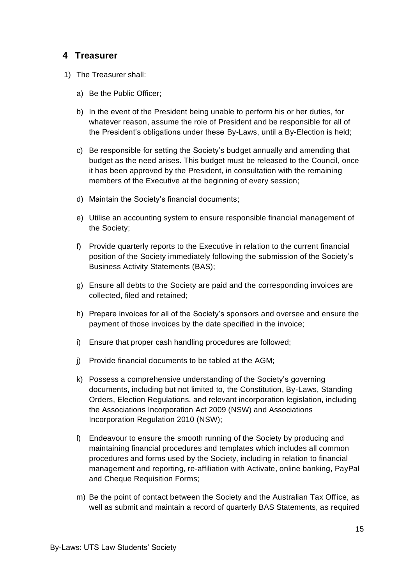#### <span id="page-14-0"></span>**4 Treasurer**

- 1) The Treasurer shall:
	- a) Be the Public Officer;
	- b) In the event of the President being unable to perform his or her duties, for whatever reason, assume the role of President and be responsible for all of the President's obligations under these By-Laws, until a By-Election is held;
	- c) Be responsible for setting the Society's budget annually and amending that budget as the need arises. This budget must be released to the Council, once it has been approved by the President, in consultation with the remaining members of the Executive at the beginning of every session;
	- d) Maintain the Society's financial documents;
	- e) Utilise an accounting system to ensure responsible financial management of the Society;
	- f) Provide quarterly reports to the Executive in relation to the current financial position of the Society immediately following the submission of the Society's Business Activity Statements (BAS);
	- g) Ensure all debts to the Society are paid and the corresponding invoices are collected, filed and retained;
	- h) Prepare invoices for all of the Society's sponsors and oversee and ensure the payment of those invoices by the date specified in the invoice;
	- i) Ensure that proper cash handling procedures are followed;
	- j) Provide financial documents to be tabled at the AGM;
	- k) Possess a comprehensive understanding of the Society's governing documents, including but not limited to, the Constitution, By-Laws, Standing Orders, Election Regulations, and relevant incorporation legislation, including the Associations Incorporation Act 2009 (NSW) and Associations Incorporation Regulation 2010 (NSW);
	- l) Endeavour to ensure the smooth running of the Society by producing and maintaining financial procedures and templates which includes all common procedures and forms used by the Society, including in relation to financial management and reporting, re-affiliation with Activate, online banking, PayPal and Cheque Requisition Forms;
	- m) Be the point of contact between the Society and the Australian Tax Office, as well as submit and maintain a record of quarterly BAS Statements, as required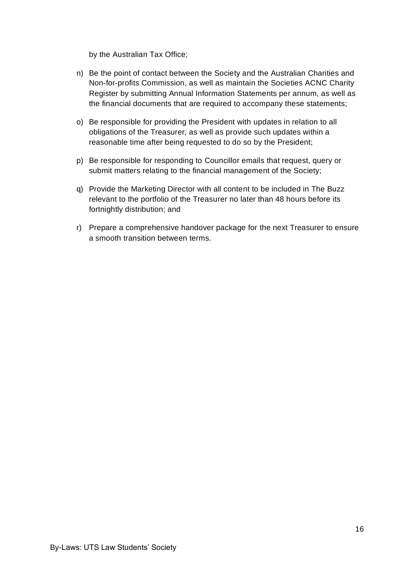by the Australian Tax Office;

- n) Be the point of contact between the Society and the Australian Charities and Non-for-profits Commission, as well as maintain the Societies ACNC Charity Register by submitting Annual Information Statements per annum, as well as the financial documents that are required to accompany these statements;
- o) Be responsible for providing the President with updates in relation to all obligations of the Treasurer, as well as provide such updates within a reasonable time after being requested to do so by the President;
- p) Be responsible for responding to Councillor emails that request, query or submit matters relating to the financial management of the Society;
- q) Provide the Marketing Director with all content to be included in The Buzz relevant to the portfolio of the Treasurer no later than 48 hours before its fortnightly distribution; and
- r) Prepare a comprehensive handover package for the next Treasurer to ensure a smooth transition between terms.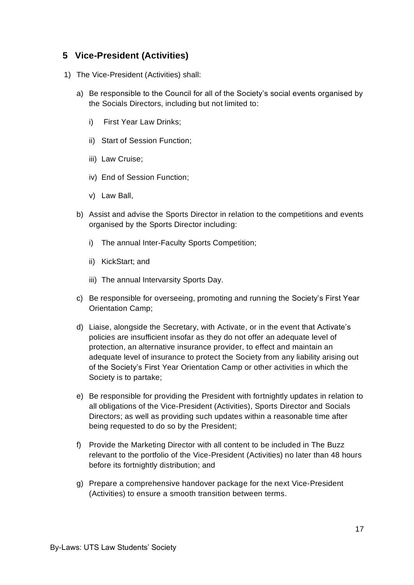#### <span id="page-16-0"></span>**5 Vice-President (Activities)**

- 1) The Vice-President (Activities) shall:
	- a) Be responsible to the Council for all of the Society's social events organised by the Socials Directors, including but not limited to:
		- i) First Year Law Drinks;
		- ii) Start of Session Function;
		- iii) Law Cruise;
		- iv) End of Session Function;
		- v) Law Ball,
	- b) Assist and advise the Sports Director in relation to the competitions and events organised by the Sports Director including:
		- i) The annual Inter-Faculty Sports Competition;
		- ii) KickStart; and
		- iii) The annual Intervarsity Sports Day.
	- c) Be responsible for overseeing, promoting and running the Society's First Year Orientation Camp;
	- d) Liaise, alongside the Secretary, with Activate, or in the event that Activate's policies are insufficient insofar as they do not offer an adequate level of protection, an alternative insurance provider, to effect and maintain an adequate level of insurance to protect the Society from any liability arising out of the Society's First Year Orientation Camp or other activities in which the Society is to partake;
	- e) Be responsible for providing the President with fortnightly updates in relation to all obligations of the Vice-President (Activities), Sports Director and Socials Directors; as well as providing such updates within a reasonable time after being requested to do so by the President;
	- f) Provide the Marketing Director with all content to be included in The Buzz relevant to the portfolio of the Vice-President (Activities) no later than 48 hours before its fortnightly distribution; and
	- g) Prepare a comprehensive handover package for the next Vice-President (Activities) to ensure a smooth transition between terms.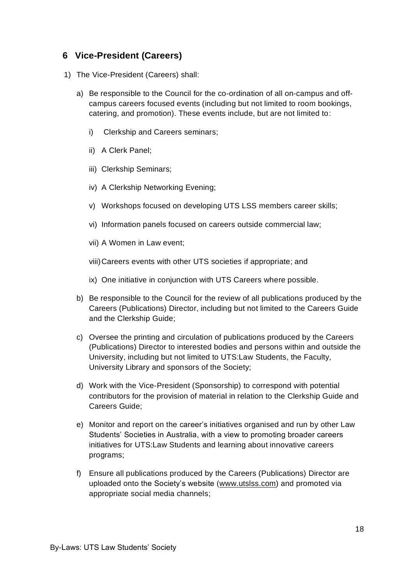### <span id="page-17-0"></span>**6 Vice-President (Careers)**

- 1) The Vice-President (Careers) shall:
	- a) Be responsible to the Council for the co-ordination of all on-campus and offcampus careers focused events (including but not limited to room bookings, catering, and promotion). These events include, but are not limited to:
		- i) Clerkship and Careers seminars;
		- ii) A Clerk Panel;
		- iii) Clerkship Seminars;
		- iv) A Clerkship Networking Evening;
		- v) Workshops focused on developing UTS LSS members career skills;
		- vi) Information panels focused on careers outside commercial law;
		- vii) A Women in Law event;
		- viii)Careers events with other UTS societies if appropriate; and
		- ix) One initiative in conjunction with UTS Careers where possible.
	- b) Be responsible to the Council for the review of all publications produced by the Careers (Publications) Director, including but not limited to the Careers Guide and the Clerkship Guide;
	- c) Oversee the printing and circulation of publications produced by the Careers (Publications) Director to interested bodies and persons within and outside the University, including but not limited to UTS:Law Students, the Faculty, University Library and sponsors of the Society;
	- d) Work with the Vice-President (Sponsorship) to correspond with potential contributors for the provision of material in relation to the Clerkship Guide and Careers Guide;
	- e) Monitor and report on the career's initiatives organised and run by other Law Students' Societies in Australia, with a view to promoting broader careers initiatives for UTS:Law Students and learning about innovative careers programs;
	- f) Ensure all publications produced by the Careers (Publications) Director are uploaded onto the Society's website [\(www.utslss.com\)](http://www.utslss.com/) and promoted via appropriate social media channels;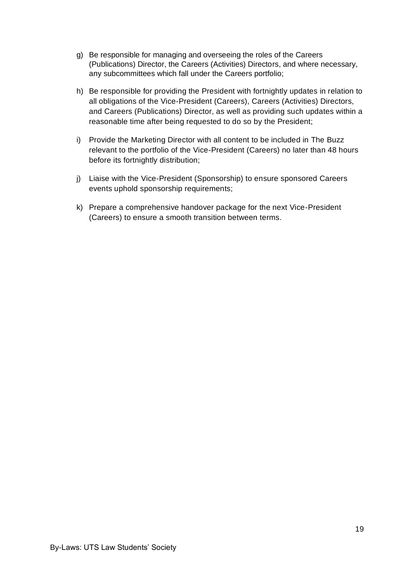- g) Be responsible for managing and overseeing the roles of the Careers (Publications) Director, the Careers (Activities) Directors, and where necessary, any subcommittees which fall under the Careers portfolio;
- h) Be responsible for providing the President with fortnightly updates in relation to all obligations of the Vice-President (Careers), Careers (Activities) Directors, and Careers (Publications) Director, as well as providing such updates within a reasonable time after being requested to do so by the President;
- i) Provide the Marketing Director with all content to be included in The Buzz relevant to the portfolio of the Vice-President (Careers) no later than 48 hours before its fortnightly distribution;
- j) Liaise with the Vice-President (Sponsorship) to ensure sponsored Careers events uphold sponsorship requirements;
- k) Prepare a comprehensive handover package for the next Vice-President (Careers) to ensure a smooth transition between terms.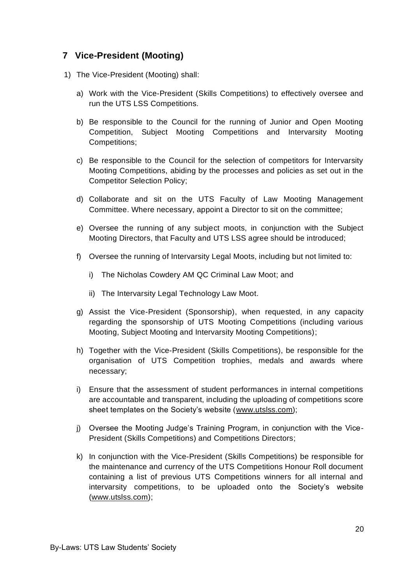### <span id="page-19-0"></span>**7 Vice-President (Mooting)**

- 1) The Vice-President (Mooting) shall:
	- a) Work with the Vice-President (Skills Competitions) to effectively oversee and run the UTS LSS Competitions.
	- b) Be responsible to the Council for the running of Junior and Open Mooting Competition, Subject Mooting Competitions and Intervarsity Mooting Competitions;
	- c) Be responsible to the Council for the selection of competitors for Intervarsity Mooting Competitions, abiding by the processes and policies as set out in the Competitor Selection Policy;
	- d) Collaborate and sit on the UTS Faculty of Law Mooting Management Committee. Where necessary, appoint a Director to sit on the committee;
	- e) Oversee the running of any subject moots, in conjunction with the Subject Mooting Directors, that Faculty and UTS LSS agree should be introduced;
	- f) Oversee the running of Intervarsity Legal Moots, including but not limited to:
		- i) The Nicholas Cowdery AM QC Criminal Law Moot; and
		- ii) The Intervarsity Legal Technology Law Moot.
	- g) Assist the Vice-President (Sponsorship), when requested, in any capacity regarding the sponsorship of UTS Mooting Competitions (including various Mooting, Subject Mooting and Intervarsity Mooting Competitions);
	- h) Together with the Vice-President (Skills Competitions), be responsible for the organisation of UTS Competition trophies, medals and awards where necessary;
	- i) Ensure that the assessment of student performances in internal competitions are accountable and transparent, including the uploading of competitions score sheet templates on the Society's website (www.utslss.com);
	- j) Oversee the Mooting Judge's Training Program, in conjunction with the Vice-President (Skills Competitions) and Competitions Directors;
	- k) In conjunction with the Vice-President (Skills Competitions) be responsible for the maintenance and currency of the UTS Competitions Honour Roll document containing a list of previous UTS Competitions winners for all internal and intervarsity competitions, to be uploaded onto the Society's website (www.utslss.com);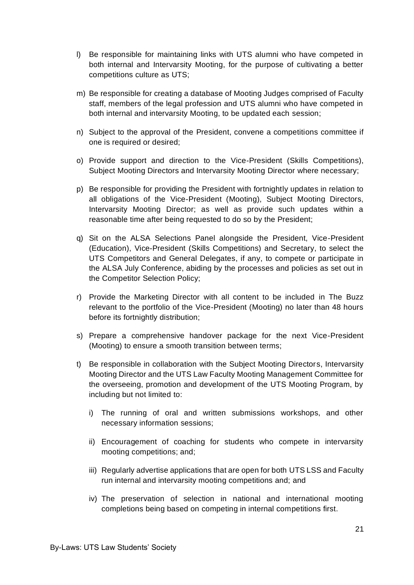- l) Be responsible for maintaining links with UTS alumni who have competed in both internal and Intervarsity Mooting, for the purpose of cultivating a better competitions culture as UTS;
- m) Be responsible for creating a database of Mooting Judges comprised of Faculty staff, members of the legal profession and UTS alumni who have competed in both internal and intervarsity Mooting, to be updated each session;
- n) Subject to the approval of the President, convene a competitions committee if one is required or desired;
- o) Provide support and direction to the Vice-President (Skills Competitions), Subject Mooting Directors and Intervarsity Mooting Director where necessary;
- p) Be responsible for providing the President with fortnightly updates in relation to all obligations of the Vice-President (Mooting), Subject Mooting Directors, Intervarsity Mooting Director; as well as provide such updates within a reasonable time after being requested to do so by the President;
- q) Sit on the ALSA Selections Panel alongside the President, Vice-President (Education), Vice-President (Skills Competitions) and Secretary, to select the UTS Competitors and General Delegates, if any, to compete or participate in the ALSA July Conference, abiding by the processes and policies as set out in the Competitor Selection Policy;
- r) Provide the Marketing Director with all content to be included in The Buzz relevant to the portfolio of the Vice-President (Mooting) no later than 48 hours before its fortnightly distribution;
- s) Prepare a comprehensive handover package for the next Vice-President (Mooting) to ensure a smooth transition between terms;
- t) Be responsible in collaboration with the Subject Mooting Directors, Intervarsity Mooting Director and the UTS Law Faculty Mooting Management Committee for the overseeing, promotion and development of the UTS Mooting Program, by including but not limited to:
	- i) The running of oral and written submissions workshops, and other necessary information sessions;
	- ii) Encouragement of coaching for students who compete in intervarsity mooting competitions; and;
	- iii) Regularly advertise applications that are open for both UTS LSS and Faculty run internal and intervarsity mooting competitions and; and
	- iv) The preservation of selection in national and international mooting completions being based on competing in internal competitions first.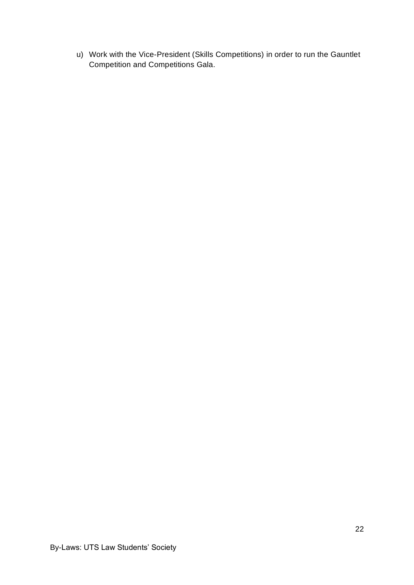u) Work with the Vice-President (Skills Competitions) in order to run the Gauntlet Competition and Competitions Gala.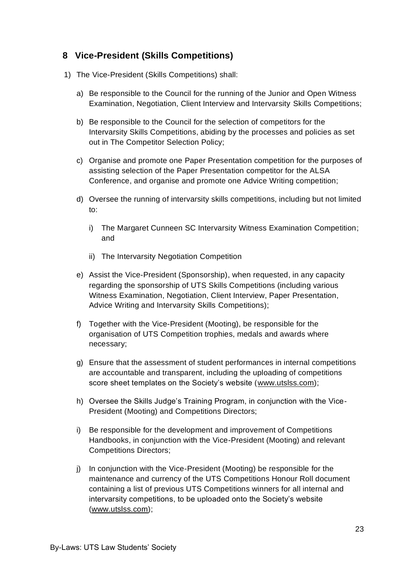## <span id="page-22-0"></span>**8 Vice-President (Skills Competitions)**

- 1) The Vice-President (Skills Competitions) shall:
	- a) Be responsible to the Council for the running of the Junior and Open Witness Examination, Negotiation, Client Interview and Intervarsity Skills Competitions;
	- b) Be responsible to the Council for the selection of competitors for the Intervarsity Skills Competitions, abiding by the processes and policies as set out in The Competitor Selection Policy;
	- c) Organise and promote one Paper Presentation competition for the purposes of assisting selection of the Paper Presentation competitor for the ALSA Conference, and organise and promote one Advice Writing competition;
	- d) Oversee the running of intervarsity skills competitions, including but not limited to:
		- i) The Margaret Cunneen SC Intervarsity Witness Examination Competition; and
		- ii) The Intervarsity Negotiation Competition
	- e) Assist the Vice-President (Sponsorship), when requested, in any capacity regarding the sponsorship of UTS Skills Competitions (including various Witness Examination, Negotiation, Client Interview, Paper Presentation, Advice Writing and Intervarsity Skills Competitions);
	- f) Together with the Vice-President (Mooting), be responsible for the organisation of UTS Competition trophies, medals and awards where necessary;
	- g) Ensure that the assessment of student performances in internal competitions are accountable and transparent, including the uploading of competitions score sheet templates on the Society's website [\(www.utslss.com\)](http://www.utslss.com/);
	- h) Oversee the Skills Judge's Training Program, in conjunction with the Vice-President (Mooting) and Competitions Directors;
	- i) Be responsible for the development and improvement of Competitions Handbooks, in conjunction with the Vice-President (Mooting) and relevant Competitions Directors;
	- j) In conjunction with the Vice-President (Mooting) be responsible for the maintenance and currency of the UTS Competitions Honour Roll document containing a list of previous UTS Competitions winners for all internal and intervarsity competitions, to be uploaded onto the Society's website (www.utslss.com);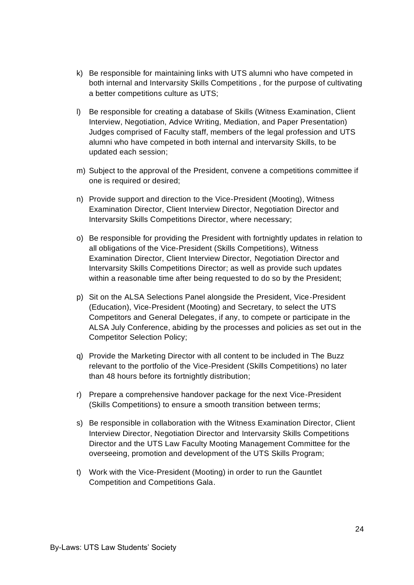- k) Be responsible for maintaining links with UTS alumni who have competed in both internal and Intervarsity Skills Competitions , for the purpose of cultivating a better competitions culture as UTS;
- l) Be responsible for creating a database of Skills (Witness Examination, Client Interview, Negotiation, Advice Writing, Mediation, and Paper Presentation) Judges comprised of Faculty staff, members of the legal profession and UTS alumni who have competed in both internal and intervarsity Skills, to be updated each session;
- m) Subject to the approval of the President, convene a competitions committee if one is required or desired;
- n) Provide support and direction to the Vice-President (Mooting), Witness Examination Director, Client Interview Director, Negotiation Director and Intervarsity Skills Competitions Director, where necessary;
- o) Be responsible for providing the President with fortnightly updates in relation to all obligations of the Vice-President (Skills Competitions), Witness Examination Director, Client Interview Director, Negotiation Director and Intervarsity Skills Competitions Director; as well as provide such updates within a reasonable time after being requested to do so by the President;
- p) Sit on the ALSA Selections Panel alongside the President, Vice-President (Education), Vice-President (Mooting) and Secretary, to select the UTS Competitors and General Delegates, if any, to compete or participate in the ALSA July Conference, abiding by the processes and policies as set out in the Competitor Selection Policy;
- q) Provide the Marketing Director with all content to be included in The Buzz relevant to the portfolio of the Vice-President (Skills Competitions) no later than 48 hours before its fortnightly distribution;
- r) Prepare a comprehensive handover package for the next Vice-President (Skills Competitions) to ensure a smooth transition between terms;
- s) Be responsible in collaboration with the Witness Examination Director, Client Interview Director, Negotiation Director and Intervarsity Skills Competitions Director and the UTS Law Faculty Mooting Management Committee for the overseeing, promotion and development of the UTS Skills Program;
- t) Work with the Vice-President (Mooting) in order to run the Gauntlet Competition and Competitions Gala.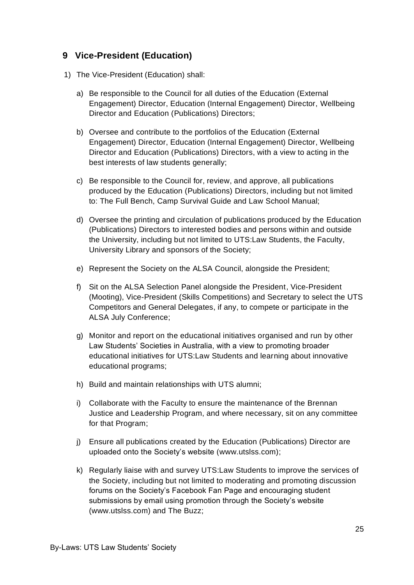### <span id="page-24-0"></span>**9 Vice-President (Education)**

- 1) The Vice-President (Education) shall:
	- a) Be responsible to the Council for all duties of the Education (External Engagement) Director, Education (Internal Engagement) Director, Wellbeing Director and Education (Publications) Directors;
	- b) Oversee and contribute to the portfolios of the Education (External Engagement) Director, Education (Internal Engagement) Director, Wellbeing Director and Education (Publications) Directors, with a view to acting in the best interests of law students generally;
	- c) Be responsible to the Council for, review, and approve, all publications produced by the Education (Publications) Directors, including but not limited to: The Full Bench, Camp Survival Guide and Law School Manual;
	- d) Oversee the printing and circulation of publications produced by the Education (Publications) Directors to interested bodies and persons within and outside the University, including but not limited to UTS:Law Students, the Faculty, University Library and sponsors of the Society;
	- e) Represent the Society on the ALSA Council, alongside the President;
	- f) Sit on the ALSA Selection Panel alongside the President, Vice-President (Mooting), Vice-President (Skills Competitions) and Secretary to select the UTS Competitors and General Delegates, if any, to compete or participate in the ALSA July Conference;
	- g) Monitor and report on the educational initiatives organised and run by other Law Students' Societies in Australia, with a view to promoting broader educational initiatives for UTS:Law Students and learning about innovative educational programs;
	- h) Build and maintain relationships with UTS alumni;
	- i) Collaborate with the Faculty to ensure the maintenance of the Brennan Justice and Leadership Program, and where necessary, sit on any committee for that Program;
	- j) Ensure all publications created by the Education (Publications) Director are uploaded onto the Society's website [\(www.utslss.com\)](http://www.utslss.com/);
	- k) Regularly liaise with and survey UTS:Law Students to improve the services of the Society, including but not limited to moderating and promoting discussion forums on the Society's Facebook Fan Page and encouraging student submissions by email using promotion through the Society's website [\(www.utslss.com\)](http://www.utslss.com/) and The Buzz;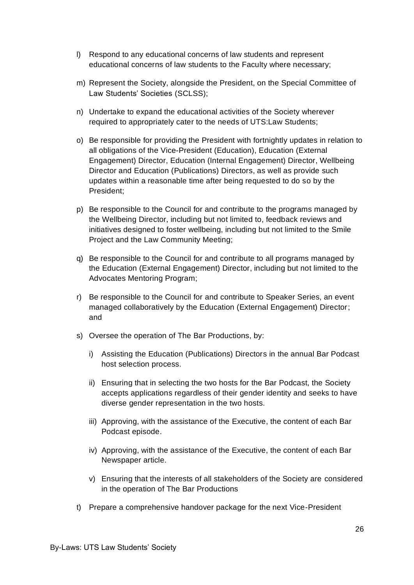- l) Respond to any educational concerns of law students and represent educational concerns of law students to the Faculty where necessary;
- m) Represent the Society, alongside the President, on the Special Committee of Law Students' Societies (SCLSS);
- n) Undertake to expand the educational activities of the Society wherever required to appropriately cater to the needs of UTS:Law Students;
- o) Be responsible for providing the President with fortnightly updates in relation to all obligations of the Vice-President (Education), Education (External Engagement) Director, Education (Internal Engagement) Director, Wellbeing Director and Education (Publications) Directors, as well as provide such updates within a reasonable time after being requested to do so by the President;
- p) Be responsible to the Council for and contribute to the programs managed by the Wellbeing Director, including but not limited to, feedback reviews and initiatives designed to foster wellbeing, including but not limited to the Smile Project and the Law Community Meeting;
- q) Be responsible to the Council for and contribute to all programs managed by the Education (External Engagement) Director, including but not limited to the Advocates Mentoring Program;
- r) Be responsible to the Council for and contribute to Speaker Series, an event managed collaboratively by the Education (External Engagement) Director; and
- s) Oversee the operation of The Bar Productions, by:
	- i) Assisting the Education (Publications) Directors in the annual Bar Podcast host selection process.
	- ii) Ensuring that in selecting the two hosts for the Bar Podcast, the Society accepts applications regardless of their gender identity and seeks to have diverse gender representation in the two hosts.
	- iii) Approving, with the assistance of the Executive, the content of each Bar Podcast episode.
	- iv) Approving, with the assistance of the Executive, the content of each Bar Newspaper article.
	- v) Ensuring that the interests of all stakeholders of the Society are considered in the operation of The Bar Productions
- t) Prepare a comprehensive handover package for the next Vice-President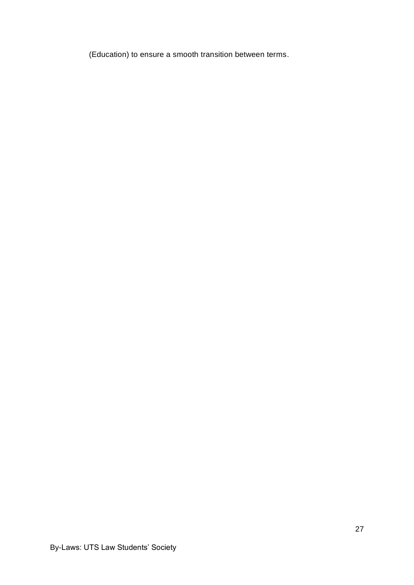(Education) to ensure a smooth transition between terms.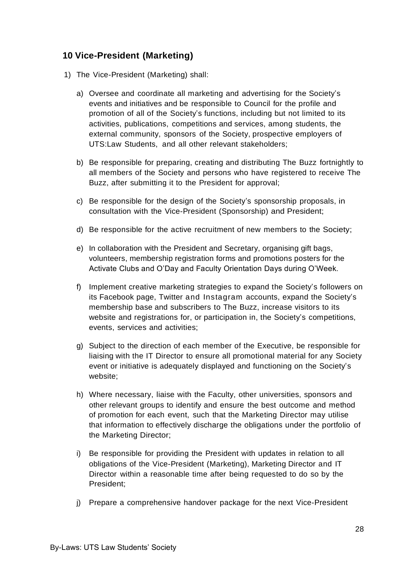## <span id="page-27-0"></span>**10 Vice-President (Marketing)**

- 1) The Vice-President (Marketing) shall:
	- a) Oversee and coordinate all marketing and advertising for the Society's events and initiatives and be responsible to Council for the profile and promotion of all of the Society's functions, including but not limited to its activities, publications, competitions and services, among students, the external community, sponsors of the Society, prospective employers of UTS:Law Students, and all other relevant stakeholders;
	- b) Be responsible for preparing, creating and distributing The Buzz fortnightly to all members of the Society and persons who have registered to receive The Buzz, after submitting it to the President for approval;
	- c) Be responsible for the design of the Society's sponsorship proposals, in consultation with the Vice-President (Sponsorship) and President;
	- d) Be responsible for the active recruitment of new members to the Society;
	- e) In collaboration with the President and Secretary, organising gift bags, volunteers, membership registration forms and promotions posters for the Activate Clubs and O'Day and Faculty Orientation Days during O'Week.
	- f) Implement creative marketing strategies to expand the Society's followers on its Facebook page, Twitter and Instagram accounts, expand the Society's membership base and subscribers to The Buzz, increase visitors to its website and registrations for, or participation in, the Society's competitions, events, services and activities;
	- g) Subject to the direction of each member of the Executive, be responsible for liaising with the IT Director to ensure all promotional material for any Society event or initiative is adequately displayed and functioning on the Society's website;
	- h) Where necessary, liaise with the Faculty, other universities, sponsors and other relevant groups to identify and ensure the best outcome and method of promotion for each event, such that the Marketing Director may utilise that information to effectively discharge the obligations under the portfolio of the Marketing Director;
	- i) Be responsible for providing the President with updates in relation to all obligations of the Vice-President (Marketing), Marketing Director and IT Director within a reasonable time after being requested to do so by the President;
	- j) Prepare a comprehensive handover package for the next Vice-President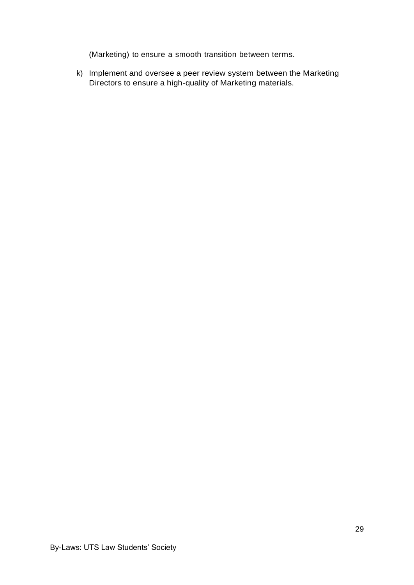(Marketing) to ensure a smooth transition between terms.

k) Implement and oversee a peer review system between the Marketing Directors to ensure a high-quality of Marketing materials.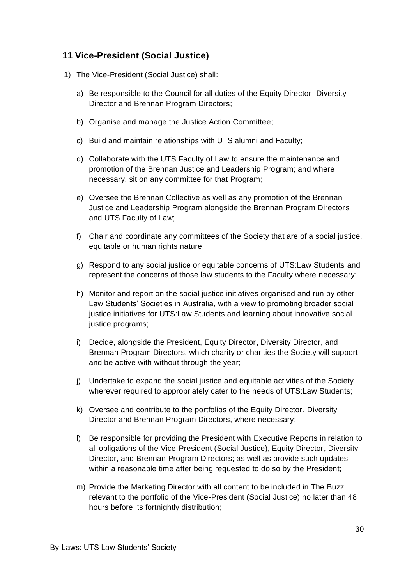## <span id="page-29-0"></span>**11 Vice-President (Social Justice)**

- 1) The Vice-President (Social Justice) shall:
	- a) Be responsible to the Council for all duties of the Equity Director, Diversity Director and Brennan Program Directors;
	- b) Organise and manage the Justice Action Committee;
	- c) Build and maintain relationships with UTS alumni and Faculty;
	- d) Collaborate with the UTS Faculty of Law to ensure the maintenance and promotion of the Brennan Justice and Leadership Program; and where necessary, sit on any committee for that Program;
	- e) Oversee the Brennan Collective as well as any promotion of the Brennan Justice and Leadership Program alongside the Brennan Program Directors and UTS Faculty of Law;
	- f) Chair and coordinate any committees of the Society that are of a social justice, equitable or human rights nature
	- g) Respond to any social justice or equitable concerns of UTS:Law Students and represent the concerns of those law students to the Faculty where necessary;
	- h) Monitor and report on the social justice initiatives organised and run by other Law Students' Societies in Australia, with a view to promoting broader social justice initiatives for UTS:Law Students and learning about innovative social justice programs;
	- i) Decide, alongside the President, Equity Director, Diversity Director, and Brennan Program Directors, which charity or charities the Society will support and be active with without through the year;
	- j) Undertake to expand the social justice and equitable activities of the Society wherever required to appropriately cater to the needs of UTS:Law Students;
	- k) Oversee and contribute to the portfolios of the Equity Director, Diversity Director and Brennan Program Directors, where necessary;
	- l) Be responsible for providing the President with Executive Reports in relation to all obligations of the Vice-President (Social Justice), Equity Director, Diversity Director, and Brennan Program Directors; as well as provide such updates within a reasonable time after being requested to do so by the President;
	- m) Provide the Marketing Director with all content to be included in The Buzz relevant to the portfolio of the Vice-President (Social Justice) no later than 48 hours before its fortnightly distribution;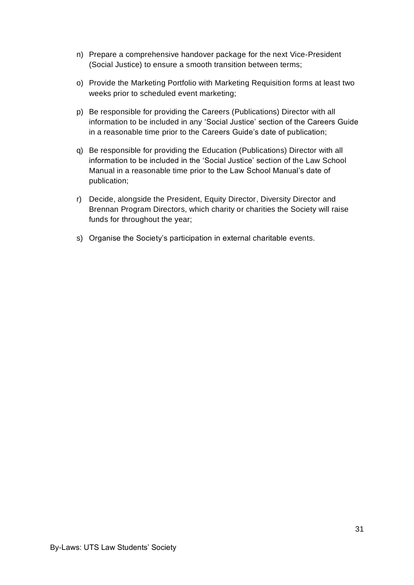- n) Prepare a comprehensive handover package for the next Vice-President (Social Justice) to ensure a smooth transition between terms;
- o) Provide the Marketing Portfolio with Marketing Requisition forms at least two weeks prior to scheduled event marketing;
- p) Be responsible for providing the Careers (Publications) Director with all information to be included in any 'Social Justice' section of the Careers Guide in a reasonable time prior to the Careers Guide's date of publication;
- q) Be responsible for providing the Education (Publications) Director with all information to be included in the 'Social Justice' section of the Law School Manual in a reasonable time prior to the Law School Manual's date of publication;
- r) Decide, alongside the President, Equity Director, Diversity Director and Brennan Program Directors, which charity or charities the Society will raise funds for throughout the year;
- s) Organise the Society's participation in external charitable events.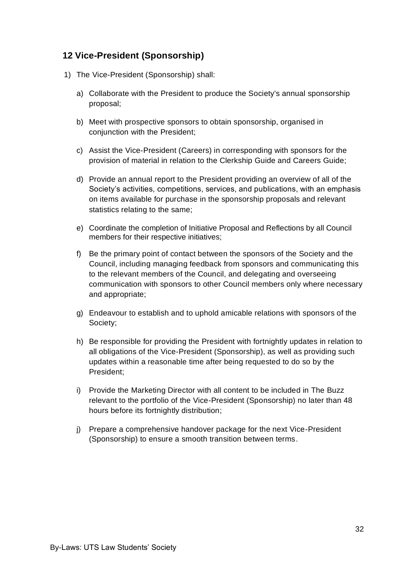## <span id="page-31-0"></span>**12 Vice-President (Sponsorship)**

- 1) The Vice-President (Sponsorship) shall:
	- a) Collaborate with the President to produce the Society's annual sponsorship proposal;
	- b) Meet with prospective sponsors to obtain sponsorship, organised in conjunction with the President:
	- c) Assist the Vice-President (Careers) in corresponding with sponsors for the provision of material in relation to the Clerkship Guide and Careers Guide;
	- d) Provide an annual report to the President providing an overview of all of the Society's activities, competitions, services, and publications, with an emphasis on items available for purchase in the sponsorship proposals and relevant statistics relating to the same;
	- e) Coordinate the completion of Initiative Proposal and Reflections by all Council members for their respective initiatives;
	- f) Be the primary point of contact between the sponsors of the Society and the Council, including managing feedback from sponsors and communicating this to the relevant members of the Council, and delegating and overseeing communication with sponsors to other Council members only where necessary and appropriate;
	- g) Endeavour to establish and to uphold amicable relations with sponsors of the Society;
	- h) Be responsible for providing the President with fortnightly updates in relation to all obligations of the Vice-President (Sponsorship), as well as providing such updates within a reasonable time after being requested to do so by the President;
	- i) Provide the Marketing Director with all content to be included in The Buzz relevant to the portfolio of the Vice-President (Sponsorship) no later than 48 hours before its fortnightly distribution;
	- j) Prepare a comprehensive handover package for the next Vice-President (Sponsorship) to ensure a smooth transition between terms.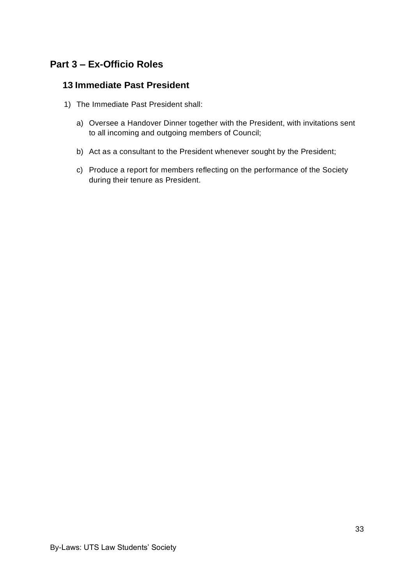## <span id="page-32-0"></span>**Part 3 – Ex-Officio Roles**

#### <span id="page-32-1"></span>**13 Immediate Past President**

- 1) The Immediate Past President shall:
	- a) Oversee a Handover Dinner together with the President, with invitations sent to all incoming and outgoing members of Council;
	- b) Act as a consultant to the President whenever sought by the President;
	- c) Produce a report for members reflecting on the performance of the Society during their tenure as President.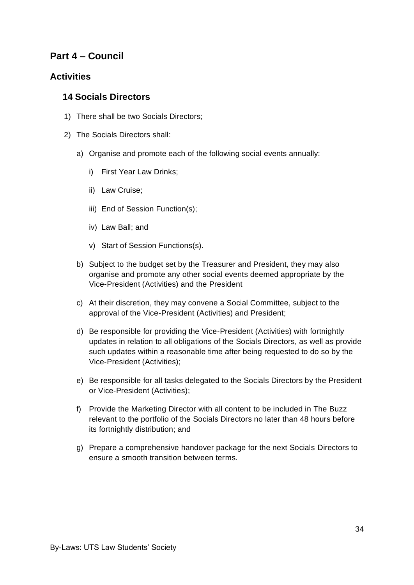## <span id="page-33-0"></span>**Part 4 – Council**

#### <span id="page-33-1"></span>**Activities**

#### <span id="page-33-2"></span>**14 Socials Directors**

- 1) There shall be two Socials Directors;
- 2) The Socials Directors shall:
	- a) Organise and promote each of the following social events annually:
		- i) First Year Law Drinks;
		- ii) Law Cruise;
		- iii) End of Session Function(s);
		- iv) Law Ball; and
		- v) Start of Session Functions(s).
	- b) Subject to the budget set by the Treasurer and President, they may also organise and promote any other social events deemed appropriate by the Vice-President (Activities) and the President
	- c) At their discretion, they may convene a Social Committee, subject to the approval of the Vice-President (Activities) and President;
	- d) Be responsible for providing the Vice-President (Activities) with fortnightly updates in relation to all obligations of the Socials Directors, as well as provide such updates within a reasonable time after being requested to do so by the Vice-President (Activities);
	- e) Be responsible for all tasks delegated to the Socials Directors by the President or Vice-President (Activities);
	- f) Provide the Marketing Director with all content to be included in The Buzz relevant to the portfolio of the Socials Directors no later than 48 hours before its fortnightly distribution; and
	- g) Prepare a comprehensive handover package for the next Socials Directors to ensure a smooth transition between terms.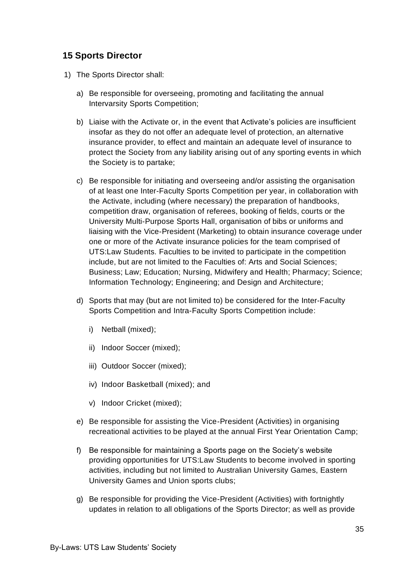#### <span id="page-34-0"></span>**15 Sports Director**

- 1) The Sports Director shall:
	- a) Be responsible for overseeing, promoting and facilitating the annual Intervarsity Sports Competition;
	- b) Liaise with the Activate or, in the event that Activate's policies are insufficient insofar as they do not offer an adequate level of protection, an alternative insurance provider, to effect and maintain an adequate level of insurance to protect the Society from any liability arising out of any sporting events in which the Society is to partake;
	- c) Be responsible for initiating and overseeing and/or assisting the organisation of at least one Inter-Faculty Sports Competition per year, in collaboration with the Activate, including (where necessary) the preparation of handbooks, competition draw, organisation of referees, booking of fields, courts or the University Multi-Purpose Sports Hall, organisation of bibs or uniforms and liaising with the Vice-President (Marketing) to obtain insurance coverage under one or more of the Activate insurance policies for the team comprised of UTS:Law Students. Faculties to be invited to participate in the competition include, but are not limited to the Faculties of: Arts and Social Sciences; Business; Law; Education; Nursing, Midwifery and Health; Pharmacy; Science; Information Technology; Engineering; and Design and Architecture;
	- d) Sports that may (but are not limited to) be considered for the Inter-Faculty Sports Competition and Intra-Faculty Sports Competition include:
		- i) Netball (mixed);
		- ii) Indoor Soccer (mixed);
		- iii) Outdoor Soccer (mixed);
		- iv) Indoor Basketball (mixed); and
		- v) Indoor Cricket (mixed);
	- e) Be responsible for assisting the Vice-President (Activities) in organising recreational activities to be played at the annual First Year Orientation Camp;
	- f) Be responsible for maintaining a Sports page on the Society's website providing opportunities for UTS:Law Students to become involved in sporting activities, including but not limited to Australian University Games, Eastern University Games and Union sports clubs;
	- g) Be responsible for providing the Vice-President (Activities) with fortnightly updates in relation to all obligations of the Sports Director; as well as provide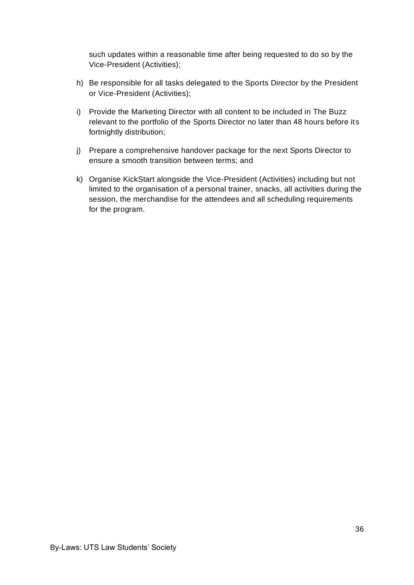such updates within a reasonable time after being requested to do so by the Vice-President (Activities);

- h) Be responsible for all tasks delegated to the Sports Director by the President or Vice-President (Activities);
- i) Provide the Marketing Director with all content to be included in The Buzz relevant to the portfolio of the Sports Director no later than 48 hours before its fortnightly distribution;
- j) Prepare a comprehensive handover package for the next Sports Director to ensure a smooth transition between terms; and
- k) Organise KickStart alongside the Vice-President (Activities) including but not limited to the organisation of a personal trainer, snacks, all activities during the session, the merchandise for the attendees and all scheduling requirements for the program.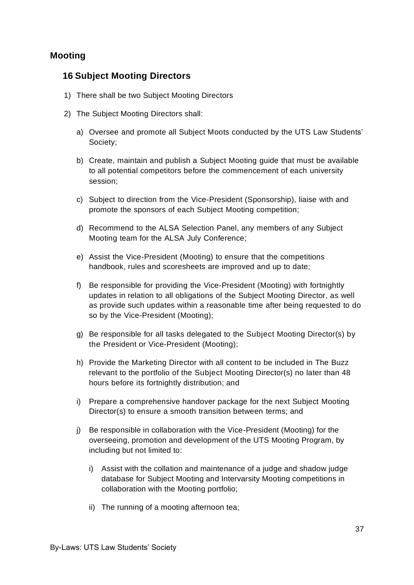### **Mooting**

#### **16 Subject Mooting Directors**

- 1) There shall be two Subject Mooting Directors
- 2) The Subject Mooting Directors shall:
	- a) Oversee and promote all Subject Moots conducted by the UTS Law Students' Society;
	- b) Create, maintain and publish a Subject Mooting guide that must be available to all potential competitors before the commencement of each university session;
	- c) Subject to direction from the Vice-President (Sponsorship), liaise with and promote the sponsors of each Subject Mooting competition;
	- d) Recommend to the ALSA Selection Panel, any members of any Subject Mooting team for the ALSA July Conference;
	- e) Assist the Vice-President (Mooting) to ensure that the competitions handbook, rules and scoresheets are improved and up to date;
	- f) Be responsible for providing the Vice-President (Mooting) with fortnightly updates in relation to all obligations of the Subject Mooting Director, as well as provide such updates within a reasonable time after being requested to do so by the Vice-President (Mooting);
	- g) Be responsible for all tasks delegated to the Subject Mooting Director(s) by the President or Vice-President (Mooting);
	- h) Provide the Marketing Director with all content to be included in The Buzz relevant to the portfolio of the Subject Mooting Director(s) no later than 48 hours before its fortnightly distribution; and
	- i) Prepare a comprehensive handover package for the next Subject Mooting Director(s) to ensure a smooth transition between terms; and
	- j) Be responsible in collaboration with the Vice-President (Mooting) for the overseeing, promotion and development of the UTS Mooting Program, by including but not limited to:
		- i) Assist with the collation and maintenance of a judge and shadow judge database for Subject Mooting and Intervarsity Mooting competitions in collaboration with the Mooting portfolio;
		- ii) The running of a mooting afternoon tea;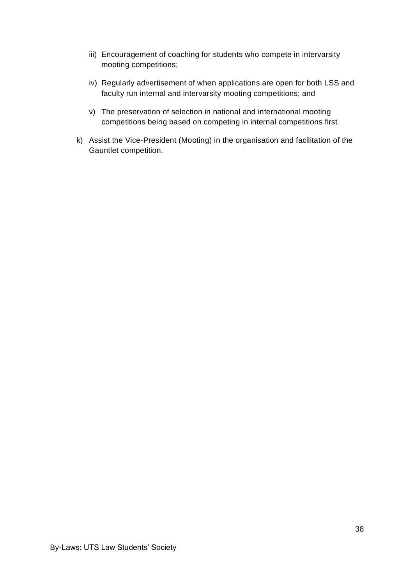- iii) Encouragement of coaching for students who compete in intervarsity mooting competitions;
- iv) Regularly advertisement of when applications are open for both LSS and faculty run internal and intervarsity mooting competitions; and
- v) The preservation of selection in national and international mooting competitions being based on competing in internal competitions first.
- k) Assist the Vice-President (Mooting) in the organisation and facilitation of the Gauntlet competition.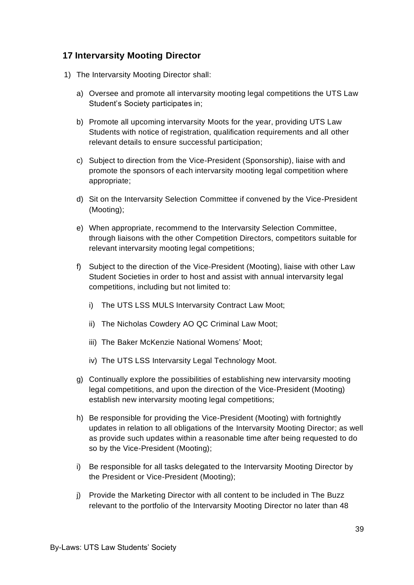# **17 Intervarsity Mooting Director**

- 1) The Intervarsity Mooting Director shall:
	- a) Oversee and promote all intervarsity mooting legal competitions the UTS Law Student's Society participates in;
	- b) Promote all upcoming intervarsity Moots for the year, providing UTS Law Students with notice of registration, qualification requirements and all other relevant details to ensure successful participation;
	- c) Subject to direction from the Vice-President (Sponsorship), liaise with and promote the sponsors of each intervarsity mooting legal competition where appropriate;
	- d) Sit on the Intervarsity Selection Committee if convened by the Vice-President (Mooting);
	- e) When appropriate, recommend to the Intervarsity Selection Committee, through liaisons with the other Competition Directors, competitors suitable for relevant intervarsity mooting legal competitions;
	- f) Subject to the direction of the Vice-President (Mooting), liaise with other Law Student Societies in order to host and assist with annual intervarsity legal competitions, including but not limited to:
		- i) The UTS LSS MULS Intervarsity Contract Law Moot;
		- ii) The Nicholas Cowdery AO QC Criminal Law Moot;
		- iii) The Baker McKenzie National Womens' Moot;
		- iv) The UTS LSS Intervarsity Legal Technology Moot.
	- g) Continually explore the possibilities of establishing new intervarsity mooting legal competitions, and upon the direction of the Vice-President (Mooting) establish new intervarsity mooting legal competitions;
	- h) Be responsible for providing the Vice-President (Mooting) with fortnightly updates in relation to all obligations of the Intervarsity Mooting Director; as well as provide such updates within a reasonable time after being requested to do so by the Vice-President (Mooting);
	- i) Be responsible for all tasks delegated to the Intervarsity Mooting Director by the President or Vice-President (Mooting);
	- j) Provide the Marketing Director with all content to be included in The Buzz relevant to the portfolio of the Intervarsity Mooting Director no later than 48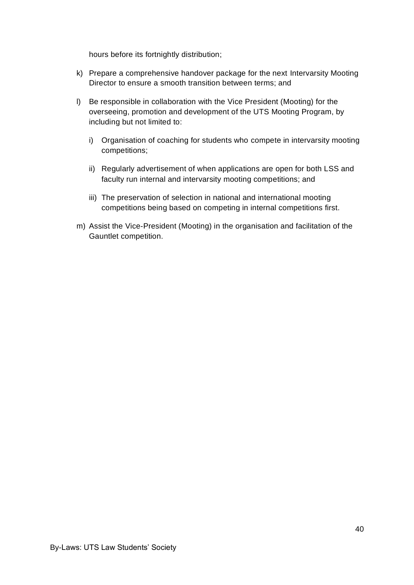hours before its fortnightly distribution;

- k) Prepare a comprehensive handover package for the next Intervarsity Mooting Director to ensure a smooth transition between terms; and
- l) Be responsible in collaboration with the Vice President (Mooting) for the overseeing, promotion and development of the UTS Mooting Program, by including but not limited to:
	- i) Organisation of coaching for students who compete in intervarsity mooting competitions;
	- ii) Regularly advertisement of when applications are open for both LSS and faculty run internal and intervarsity mooting competitions; and
	- iii) The preservation of selection in national and international mooting competitions being based on competing in internal competitions first.
- m) Assist the Vice-President (Mooting) in the organisation and facilitation of the Gauntlet competition.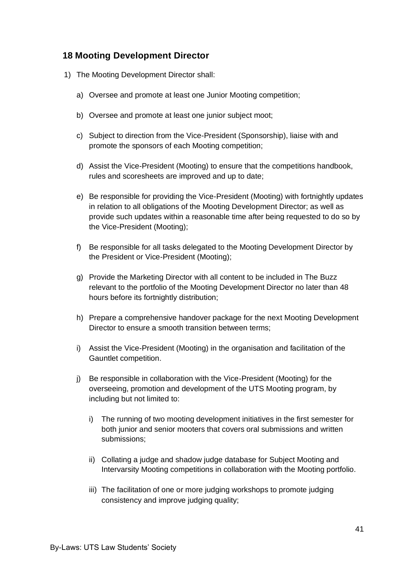# **18 Mooting Development Director**

- 1) The Mooting Development Director shall:
	- a) Oversee and promote at least one Junior Mooting competition;
	- b) Oversee and promote at least one junior subject moot;
	- c) Subject to direction from the Vice-President (Sponsorship), liaise with and promote the sponsors of each Mooting competition;
	- d) Assist the Vice-President (Mooting) to ensure that the competitions handbook, rules and scoresheets are improved and up to date;
	- e) Be responsible for providing the Vice-President (Mooting) with fortnightly updates in relation to all obligations of the Mooting Development Director; as well as provide such updates within a reasonable time after being requested to do so by the Vice-President (Mooting);
	- f) Be responsible for all tasks delegated to the Mooting Development Director by the President or Vice-President (Mooting);
	- g) Provide the Marketing Director with all content to be included in The Buzz relevant to the portfolio of the Mooting Development Director no later than 48 hours before its fortnightly distribution;
	- h) Prepare a comprehensive handover package for the next Mooting Development Director to ensure a smooth transition between terms;
	- i) Assist the Vice-President (Mooting) in the organisation and facilitation of the Gauntlet competition.
	- j) Be responsible in collaboration with the Vice-President (Mooting) for the overseeing, promotion and development of the UTS Mooting program, by including but not limited to:
		- i) The running of two mooting development initiatives in the first semester for both junior and senior mooters that covers oral submissions and written submissions;
		- ii) Collating a judge and shadow judge database for Subject Mooting and Intervarsity Mooting competitions in collaboration with the Mooting portfolio.
		- iii) The facilitation of one or more judging workshops to promote judging consistency and improve judging quality;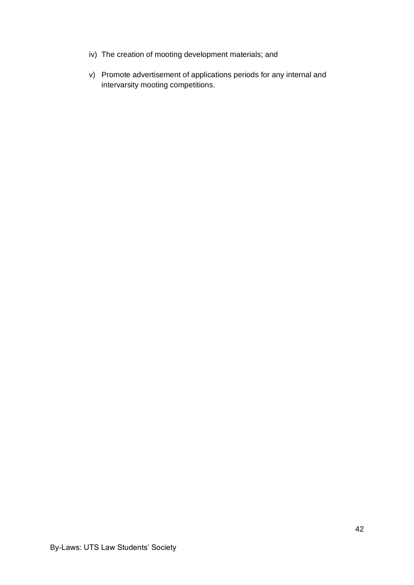- iv) The creation of mooting development materials; and
- v) Promote advertisement of applications periods for any internal and intervarsity mooting competitions.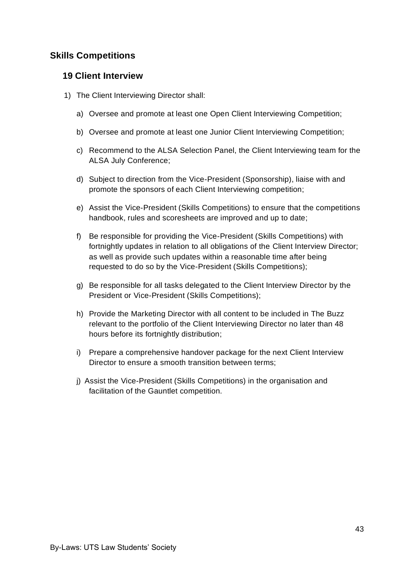# **Skills Competitions**

#### **19 Client Interview**

- 1) The Client Interviewing Director shall:
	- a) Oversee and promote at least one Open Client Interviewing Competition;
	- b) Oversee and promote at least one Junior Client Interviewing Competition;
	- c) Recommend to the ALSA Selection Panel, the Client Interviewing team for the ALSA July Conference;
	- d) Subject to direction from the Vice-President (Sponsorship), liaise with and promote the sponsors of each Client Interviewing competition;
	- e) Assist the Vice-President (Skills Competitions) to ensure that the competitions handbook, rules and scoresheets are improved and up to date;
	- f) Be responsible for providing the Vice-President (Skills Competitions) with fortnightly updates in relation to all obligations of the Client Interview Director; as well as provide such updates within a reasonable time after being requested to do so by the Vice-President (Skills Competitions);
	- g) Be responsible for all tasks delegated to the Client Interview Director by the President or Vice-President (Skills Competitions);
	- h) Provide the Marketing Director with all content to be included in The Buzz relevant to the portfolio of the Client Interviewing Director no later than 48 hours before its fortnightly distribution;
	- i) Prepare a comprehensive handover package for the next Client Interview Director to ensure a smooth transition between terms;
	- j) Assist the Vice-President (Skills Competitions) in the organisation and facilitation of the Gauntlet competition.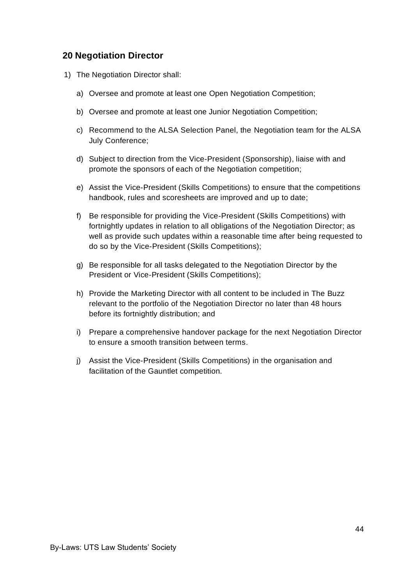#### **20 Negotiation Director**

- 1) The Negotiation Director shall:
	- a) Oversee and promote at least one Open Negotiation Competition;
	- b) Oversee and promote at least one Junior Negotiation Competition;
	- c) Recommend to the ALSA Selection Panel, the Negotiation team for the ALSA July Conference;
	- d) Subject to direction from the Vice-President (Sponsorship), liaise with and promote the sponsors of each of the Negotiation competition;
	- e) Assist the Vice-President (Skills Competitions) to ensure that the competitions handbook, rules and scoresheets are improved and up to date;
	- f) Be responsible for providing the Vice-President (Skills Competitions) with fortnightly updates in relation to all obligations of the Negotiation Director; as well as provide such updates within a reasonable time after being requested to do so by the Vice-President (Skills Competitions);
	- g) Be responsible for all tasks delegated to the Negotiation Director by the President or Vice-President (Skills Competitions);
	- h) Provide the Marketing Director with all content to be included in The Buzz relevant to the portfolio of the Negotiation Director no later than 48 hours before its fortnightly distribution; and
	- i) Prepare a comprehensive handover package for the next Negotiation Director to ensure a smooth transition between terms.
	- j) Assist the Vice-President (Skills Competitions) in the organisation and facilitation of the Gauntlet competition.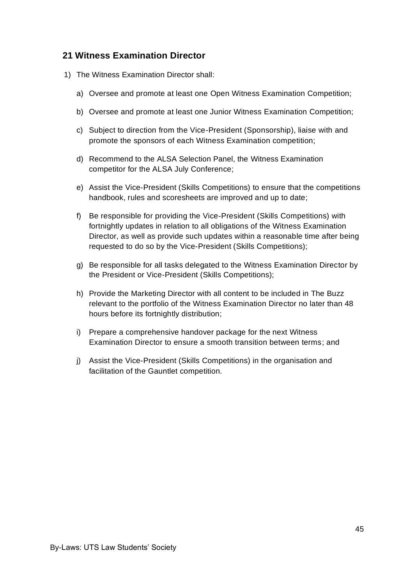### **21 Witness Examination Director**

- 1) The Witness Examination Director shall:
	- a) Oversee and promote at least one Open Witness Examination Competition;
	- b) Oversee and promote at least one Junior Witness Examination Competition;
	- c) Subject to direction from the Vice-President (Sponsorship), liaise with and promote the sponsors of each Witness Examination competition;
	- d) Recommend to the ALSA Selection Panel, the Witness Examination competitor for the ALSA July Conference;
	- e) Assist the Vice-President (Skills Competitions) to ensure that the competitions handbook, rules and scoresheets are improved and up to date;
	- f) Be responsible for providing the Vice-President (Skills Competitions) with fortnightly updates in relation to all obligations of the Witness Examination Director, as well as provide such updates within a reasonable time after being requested to do so by the Vice-President (Skills Competitions);
	- g) Be responsible for all tasks delegated to the Witness Examination Director by the President or Vice-President (Skills Competitions);
	- h) Provide the Marketing Director with all content to be included in The Buzz relevant to the portfolio of the Witness Examination Director no later than 48 hours before its fortnightly distribution;
	- i) Prepare a comprehensive handover package for the next Witness Examination Director to ensure a smooth transition between terms; and
	- j) Assist the Vice-President (Skills Competitions) in the organisation and facilitation of the Gauntlet competition.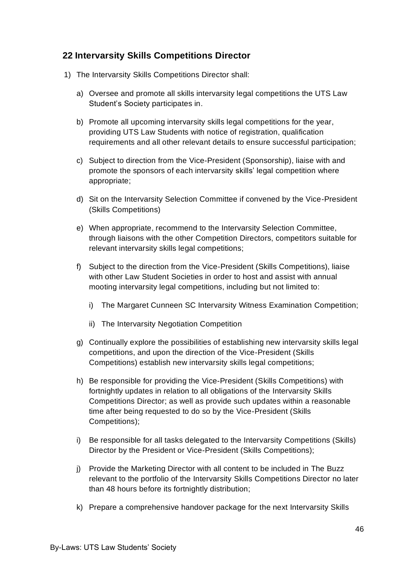# **22 Intervarsity Skills Competitions Director**

- 1) The Intervarsity Skills Competitions Director shall:
	- a) Oversee and promote all skills intervarsity legal competitions the UTS Law Student's Society participates in.
	- b) Promote all upcoming intervarsity skills legal competitions for the year, providing UTS Law Students with notice of registration, qualification requirements and all other relevant details to ensure successful participation;
	- c) Subject to direction from the Vice-President (Sponsorship), liaise with and promote the sponsors of each intervarsity skills' legal competition where appropriate;
	- d) Sit on the Intervarsity Selection Committee if convened by the Vice-President (Skills Competitions)
	- e) When appropriate, recommend to the Intervarsity Selection Committee, through liaisons with the other Competition Directors, competitors suitable for relevant intervarsity skills legal competitions;
	- f) Subject to the direction from the Vice-President (Skills Competitions), liaise with other Law Student Societies in order to host and assist with annual mooting intervarsity legal competitions, including but not limited to:
		- i) The Margaret Cunneen SC Intervarsity Witness Examination Competition;
		- ii) The Intervarsity Negotiation Competition
	- g) Continually explore the possibilities of establishing new intervarsity skills legal competitions, and upon the direction of the Vice-President (Skills Competitions) establish new intervarsity skills legal competitions;
	- h) Be responsible for providing the Vice-President (Skills Competitions) with fortnightly updates in relation to all obligations of the Intervarsity Skills Competitions Director; as well as provide such updates within a reasonable time after being requested to do so by the Vice-President (Skills Competitions);
	- i) Be responsible for all tasks delegated to the Intervarsity Competitions (Skills) Director by the President or Vice-President (Skills Competitions);
	- j) Provide the Marketing Director with all content to be included in The Buzz relevant to the portfolio of the Intervarsity Skills Competitions Director no later than 48 hours before its fortnightly distribution;
	- k) Prepare a comprehensive handover package for the next Intervarsity Skills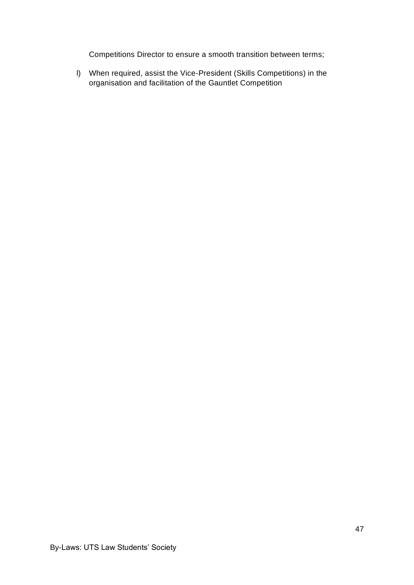Competitions Director to ensure a smooth transition between terms;

l) When required, assist the Vice-President (Skills Competitions) in the organisation and facilitation of the Gauntlet Competition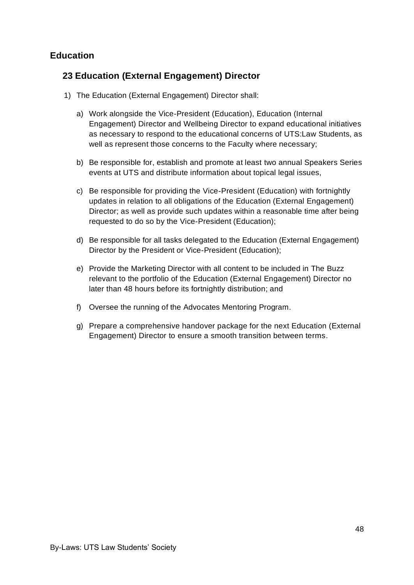# **Education**

### **23 Education (External Engagement) Director**

- 1) The Education (External Engagement) Director shall:
	- a) Work alongside the Vice-President (Education), Education (Internal Engagement) Director and Wellbeing Director to expand educational initiatives as necessary to respond to the educational concerns of UTS:Law Students, as well as represent those concerns to the Faculty where necessary;
	- b) Be responsible for, establish and promote at least two annual Speakers Series events at UTS and distribute information about topical legal issues,
	- c) Be responsible for providing the Vice-President (Education) with fortnightly updates in relation to all obligations of the Education (External Engagement) Director; as well as provide such updates within a reasonable time after being requested to do so by the Vice-President (Education);
	- d) Be responsible for all tasks delegated to the Education (External Engagement) Director by the President or Vice-President (Education);
	- e) Provide the Marketing Director with all content to be included in The Buzz relevant to the portfolio of the Education (External Engagement) Director no later than 48 hours before its fortnightly distribution; and
	- f) Oversee the running of the Advocates Mentoring Program.
	- g) Prepare a comprehensive handover package for the next Education (External Engagement) Director to ensure a smooth transition between terms.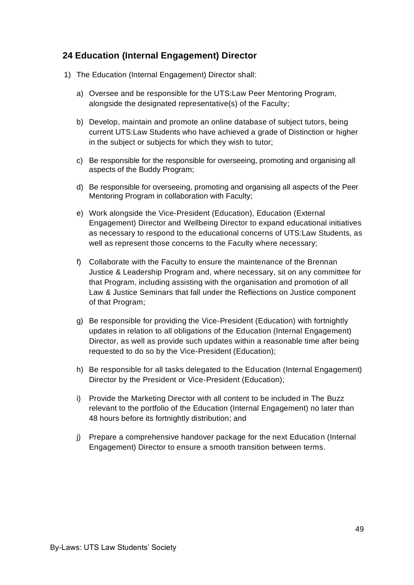# **24 Education (Internal Engagement) Director**

- 1) The Education (Internal Engagement) Director shall:
	- a) Oversee and be responsible for the UTS:Law Peer Mentoring Program, alongside the designated representative(s) of the Faculty;
	- b) Develop, maintain and promote an online database of subject tutors, being current UTS:Law Students who have achieved a grade of Distinction or higher in the subject or subjects for which they wish to tutor;
	- c) Be responsible for the responsible for overseeing, promoting and organising all aspects of the Buddy Program;
	- d) Be responsible for overseeing, promoting and organising all aspects of the Peer Mentoring Program in collaboration with Faculty;
	- e) Work alongside the Vice-President (Education), Education (External Engagement) Director and Wellbeing Director to expand educational initiatives as necessary to respond to the educational concerns of UTS:Law Students, as well as represent those concerns to the Faculty where necessary;
	- f) Collaborate with the Faculty to ensure the maintenance of the Brennan Justice & Leadership Program and, where necessary, sit on any committee for that Program, including assisting with the organisation and promotion of all Law & Justice Seminars that fall under the Reflections on Justice component of that Program;
	- g) Be responsible for providing the Vice-President (Education) with fortnightly updates in relation to all obligations of the Education (Internal Engagement) Director, as well as provide such updates within a reasonable time after being requested to do so by the Vice-President (Education);
	- h) Be responsible for all tasks delegated to the Education (Internal Engagement) Director by the President or Vice-President (Education);
	- i) Provide the Marketing Director with all content to be included in The Buzz relevant to the portfolio of the Education (Internal Engagement) no later than 48 hours before its fortnightly distribution; and
	- j) Prepare a comprehensive handover package for the next Education (Internal Engagement) Director to ensure a smooth transition between terms.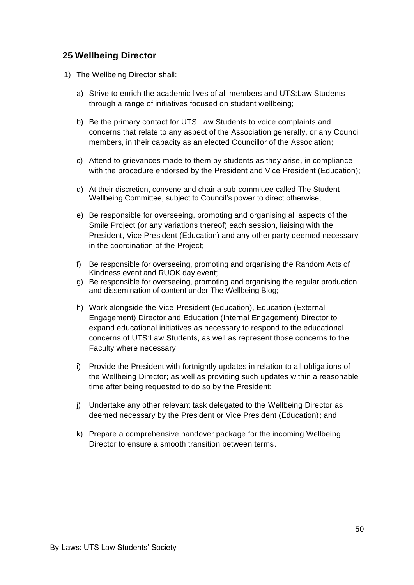#### **25 Wellbeing Director**

- 1) The Wellbeing Director shall:
	- a) Strive to enrich the academic lives of all members and UTS:Law Students through a range of initiatives focused on student wellbeing;
	- b) Be the primary contact for UTS:Law Students to voice complaints and concerns that relate to any aspect of the Association generally, or any Council members, in their capacity as an elected Councillor of the Association;
	- c) Attend to grievances made to them by students as they arise, in compliance with the procedure endorsed by the President and Vice President (Education);
	- d) At their discretion, convene and chair a sub-committee called The Student Wellbeing Committee, subject to Council's power to direct otherwise;
	- e) Be responsible for overseeing, promoting and organising all aspects of the Smile Project (or any variations thereof) each session, liaising with the President, Vice President (Education) and any other party deemed necessary in the coordination of the Project;
	- f) Be responsible for overseeing, promoting and organising the Random Acts of Kindness event and RUOK day event;
	- g) Be responsible for overseeing, promoting and organising the regular production and dissemination of content under The Wellbeing Blog;
	- h) Work alongside the Vice-President (Education), Education (External Engagement) Director and Education (Internal Engagement) Director to expand educational initiatives as necessary to respond to the educational concerns of UTS:Law Students, as well as represent those concerns to the Faculty where necessary;
	- i) Provide the President with fortnightly updates in relation to all obligations of the Wellbeing Director; as well as providing such updates within a reasonable time after being requested to do so by the President;
	- j) Undertake any other relevant task delegated to the Wellbeing Director as deemed necessary by the President or Vice President (Education); and
	- k) Prepare a comprehensive handover package for the incoming Wellbeing Director to ensure a smooth transition between terms.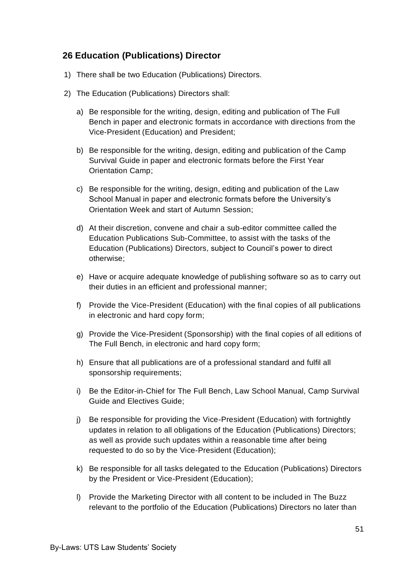### **26 Education (Publications) Director**

- 1) There shall be two Education (Publications) Directors.
- 2) The Education (Publications) Directors shall:
	- a) Be responsible for the writing, design, editing and publication of The Full Bench in paper and electronic formats in accordance with directions from the Vice-President (Education) and President;
	- b) Be responsible for the writing, design, editing and publication of the Camp Survival Guide in paper and electronic formats before the First Year Orientation Camp;
	- c) Be responsible for the writing, design, editing and publication of the Law School Manual in paper and electronic formats before the University's Orientation Week and start of Autumn Session;
	- d) At their discretion, convene and chair a sub-editor committee called the Education Publications Sub-Committee, to assist with the tasks of the Education (Publications) Directors, subject to Council's power to direct otherwise;
	- e) Have or acquire adequate knowledge of publishing software so as to carry out their duties in an efficient and professional manner;
	- f) Provide the Vice-President (Education) with the final copies of all publications in electronic and hard copy form;
	- g) Provide the Vice-President (Sponsorship) with the final copies of all editions of The Full Bench, in electronic and hard copy form;
	- h) Ensure that all publications are of a professional standard and fulfil all sponsorship requirements;
	- i) Be the Editor-in-Chief for The Full Bench, Law School Manual, Camp Survival Guide and Electives Guide;
	- j) Be responsible for providing the Vice-President (Education) with fortnightly updates in relation to all obligations of the Education (Publications) Directors; as well as provide such updates within a reasonable time after being requested to do so by the Vice-President (Education);
	- k) Be responsible for all tasks delegated to the Education (Publications) Directors by the President or Vice-President (Education);
	- l) Provide the Marketing Director with all content to be included in The Buzz relevant to the portfolio of the Education (Publications) Directors no later than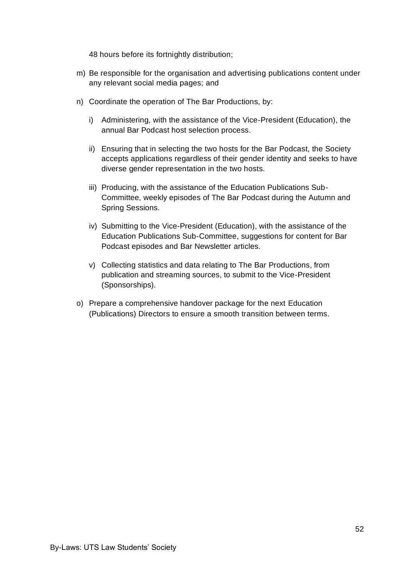48 hours before its fortnightly distribution;

- m) Be responsible for the organisation and advertising publications content under any relevant social media pages; and
- n) Coordinate the operation of The Bar Productions, by:
	- i) Administering, with the assistance of the Vice-President (Education), the annual Bar Podcast host selection process.
	- ii) Ensuring that in selecting the two hosts for the Bar Podcast, the Society accepts applications regardless of their gender identity and seeks to have diverse gender representation in the two hosts.
	- iii) Producing, with the assistance of the Education Publications Sub-Committee, weekly episodes of The Bar Podcast during the Autumn and Spring Sessions.
	- iv) Submitting to the Vice-President (Education), with the assistance of the Education Publications Sub-Committee, suggestions for content for Bar Podcast episodes and Bar Newsletter articles.
	- v) Collecting statistics and data relating to The Bar Productions, from publication and streaming sources, to submit to the Vice-President (Sponsorships).
- o) Prepare a comprehensive handover package for the next Education (Publications) Directors to ensure a smooth transition between terms.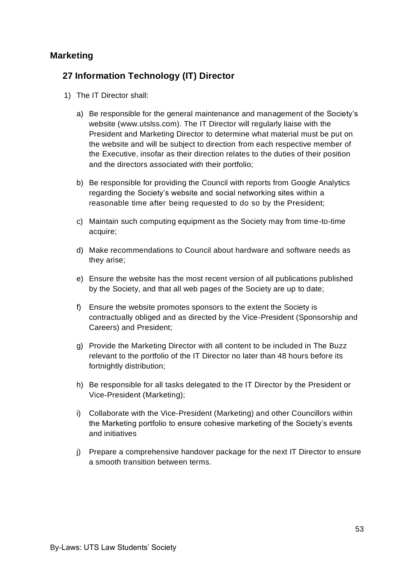#### **Marketing**

# **27 Information Technology (IT) Director**

- 1) The IT Director shall:
	- a) Be responsible for the general maintenance and management of the Society's website [\(www.utslss.com\)](http://www.utslss.com/). The IT Director will regularly liaise with the President and Marketing Director to determine what material must be put on the website and will be subject to direction from each respective member of the Executive, insofar as their direction relates to the duties of their position and the directors associated with their portfolio;
	- b) Be responsible for providing the Council with reports from Google Analytics regarding the Society's website and social networking sites within a reasonable time after being requested to do so by the President;
	- c) Maintain such computing equipment as the Society may from time-to-time acquire;
	- d) Make recommendations to Council about hardware and software needs as they arise;
	- e) Ensure the website has the most recent version of all publications published by the Society, and that all web pages of the Society are up to date;
	- f) Ensure the website promotes sponsors to the extent the Society is contractually obliged and as directed by the Vice-President (Sponsorship and Careers) and President;
	- g) Provide the Marketing Director with all content to be included in The Buzz relevant to the portfolio of the IT Director no later than 48 hours before its fortnightly distribution;
	- h) Be responsible for all tasks delegated to the IT Director by the President or Vice-President (Marketing);
	- i) Collaborate with the Vice-President (Marketing) and other Councillors within the Marketing portfolio to ensure cohesive marketing of the Society's events and initiatives
	- j) Prepare a comprehensive handover package for the next IT Director to ensure a smooth transition between terms.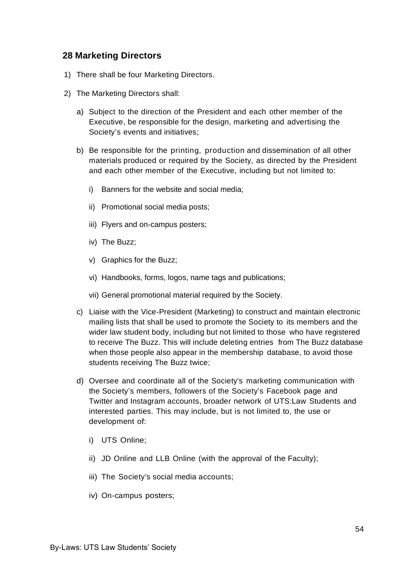#### **28 Marketing Directors**

- 1) There shall be four Marketing Directors.
- 2) The Marketing Directors shall:
	- a) Subject to the direction of the President and each other member of the Executive, be responsible for the design, marketing and advertising the Society's events and initiatives;
	- b) Be responsible for the printing, production and dissemination of all other materials produced or required by the Society, as directed by the President and each other member of the Executive, including but not limited to:
		- i) Banners for the website and social media;
		- ii) Promotional social media posts;
		- iii) Flyers and on-campus posters;
		- iv) The Buzz;
		- v) Graphics for the Buzz;
		- vi) Handbooks, forms, logos, name tags and publications;
		- vii) General promotional material required by the Society.
	- c) Liaise with the Vice-President (Marketing) to construct and maintain electronic mailing lists that shall be used to promote the Society to its members and the wider law student body, including but not limited to those who have registered to receive The Buzz. This will include deleting entries from The Buzz database when those people also appear in the membership database, to avoid those students receiving The Buzz twice;
	- d) Oversee and coordinate all of the Society's marketing communication with the Society's members, followers of the Society's Facebook page and Twitter and Instagram accounts, broader network of UTS:Law Students and interested parties. This may include, but is not limited to, the use or development of:
		- i) UTS Online;
		- ii) JD Online and LLB Online (with the approval of the Faculty);
		- iii) The Society's social media accounts;
		- iv) On-campus posters;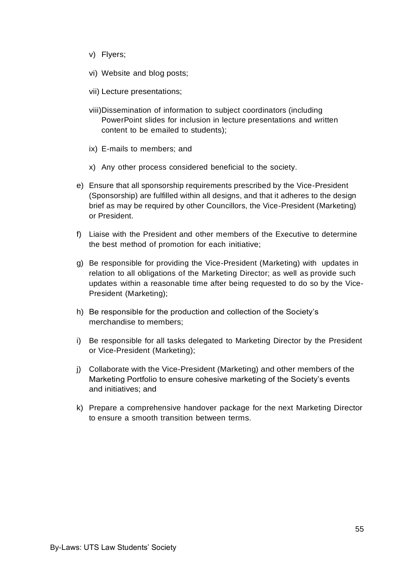- v) Flyers;
- vi) Website and blog posts;
- vii) Lecture presentations;
- viii)Dissemination of information to subject coordinators (including PowerPoint slides for inclusion in lecture presentations and written content to be emailed to students);
- ix) E-mails to members; and
- x) Any other process considered beneficial to the society.
- e) Ensure that all sponsorship requirements prescribed by the Vice-President (Sponsorship) are fulfilled within all designs, and that it adheres to the design brief as may be required by other Councillors, the Vice-President (Marketing) or President.
- f) Liaise with the President and other members of the Executive to determine the best method of promotion for each initiative;
- g) Be responsible for providing the Vice-President (Marketing) with updates in relation to all obligations of the Marketing Director; as well as provide such updates within a reasonable time after being requested to do so by the Vice-President (Marketing);
- h) Be responsible for the production and collection of the Society's merchandise to members;
- i) Be responsible for all tasks delegated to Marketing Director by the President or Vice-President (Marketing);
- j) Collaborate with the Vice-President (Marketing) and other members of the Marketing Portfolio to ensure cohesive marketing of the Society's events and initiatives; and
- k) Prepare a comprehensive handover package for the next Marketing Director to ensure a smooth transition between terms.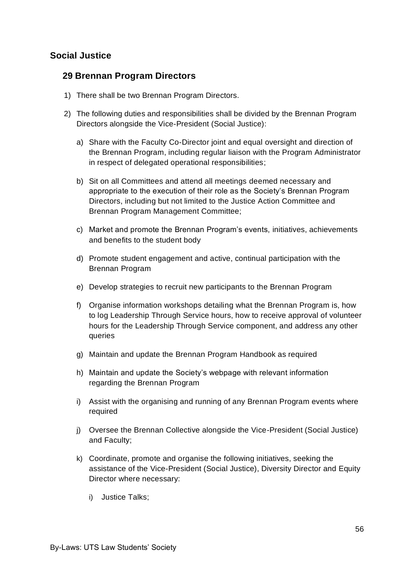# **Social Justice**

#### **29 Brennan Program Directors**

- 1) There shall be two Brennan Program Directors.
- 2) The following duties and responsibilities shall be divided by the Brennan Program Directors alongside the Vice-President (Social Justice):
	- a) Share with the Faculty Co-Director joint and equal oversight and direction of the Brennan Program, including regular liaison with the Program Administrator in respect of delegated operational responsibilities;
	- b) Sit on all Committees and attend all meetings deemed necessary and appropriate to the execution of their role as the Society's Brennan Program Directors, including but not limited to the Justice Action Committee and Brennan Program Management Committee;
	- c) Market and promote the Brennan Program's events, initiatives, achievements and benefits to the student body
	- d) Promote student engagement and active, continual participation with the Brennan Program
	- e) Develop strategies to recruit new participants to the Brennan Program
	- f) Organise information workshops detailing what the Brennan Program is, how to log Leadership Through Service hours, how to receive approval of volunteer hours for the Leadership Through Service component, and address any other queries
	- g) Maintain and update the Brennan Program Handbook as required
	- h) Maintain and update the Society's webpage with relevant information regarding the Brennan Program
	- i) Assist with the organising and running of any Brennan Program events where required
	- j) Oversee the Brennan Collective alongside the Vice-President (Social Justice) and Faculty;
	- k) Coordinate, promote and organise the following initiatives, seeking the assistance of the Vice-President (Social Justice), Diversity Director and Equity Director where necessary:
		- i) Justice Talks;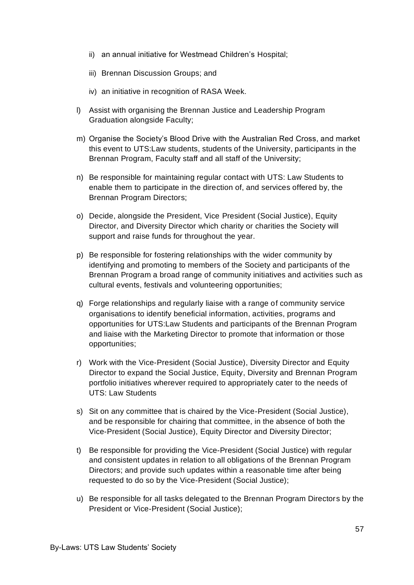- ii) an annual initiative for Westmead Children's Hospital;
- iii) Brennan Discussion Groups; and
- iv) an initiative in recognition of RASA Week.
- l) Assist with organising the Brennan Justice and Leadership Program Graduation alongside Faculty;
- m) Organise the Society's Blood Drive with the Australian Red Cross, and market this event to UTS:Law students, students of the University, participants in the Brennan Program, Faculty staff and all staff of the University;
- n) Be responsible for maintaining regular contact with UTS: Law Students to enable them to participate in the direction of, and services offered by, the Brennan Program Directors;
- o) Decide, alongside the President, Vice President (Social Justice), Equity Director, and Diversity Director which charity or charities the Society will support and raise funds for throughout the year.
- p) Be responsible for fostering relationships with the wider community by identifying and promoting to members of the Society and participants of the Brennan Program a broad range of community initiatives and activities such as cultural events, festivals and volunteering opportunities;
- q) Forge relationships and regularly liaise with a range of community service organisations to identify beneficial information, activities, programs and opportunities for UTS:Law Students and participants of the Brennan Program and liaise with the Marketing Director to promote that information or those opportunities;
- r) Work with the Vice-President (Social Justice), Diversity Director and Equity Director to expand the Social Justice, Equity, Diversity and Brennan Program portfolio initiatives wherever required to appropriately cater to the needs of UTS: Law Students
- s) Sit on any committee that is chaired by the Vice-President (Social Justice), and be responsible for chairing that committee, in the absence of both the Vice-President (Social Justice), Equity Director and Diversity Director;
- t) Be responsible for providing the Vice-President (Social Justice) with regular and consistent updates in relation to all obligations of the Brennan Program Directors; and provide such updates within a reasonable time after being requested to do so by the Vice-President (Social Justice);
- u) Be responsible for all tasks delegated to the Brennan Program Directors by the President or Vice-President (Social Justice);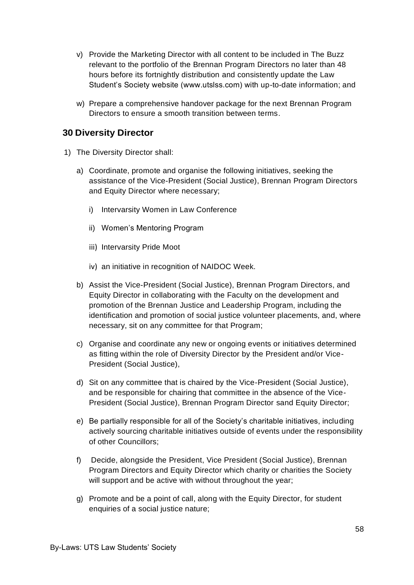- v) Provide the Marketing Director with all content to be included in The Buzz relevant to the portfolio of the Brennan Program Directors no later than 48 hours before its fortnightly distribution and consistently update the Law Student's Society website (www.utslss.com) with up-to-date information; and
- w) Prepare a comprehensive handover package for the next Brennan Program Directors to ensure a smooth transition between terms.

#### **30 Diversity Director**

- 1) The Diversity Director shall:
	- a) Coordinate, promote and organise the following initiatives, seeking the assistance of the Vice-President (Social Justice), Brennan Program Directors and Equity Director where necessary;
		- i) Intervarsity Women in Law Conference
		- ii) Women's Mentoring Program
		- iii) Intervarsity Pride Moot
		- iv) an initiative in recognition of NAIDOC Week.
	- b) Assist the Vice-President (Social Justice), Brennan Program Directors, and Equity Director in collaborating with the Faculty on the development and promotion of the Brennan Justice and Leadership Program, including the identification and promotion of social justice volunteer placements, and, where necessary, sit on any committee for that Program;
	- c) Organise and coordinate any new or ongoing events or initiatives determined as fitting within the role of Diversity Director by the President and/or Vice-President (Social Justice),
	- d) Sit on any committee that is chaired by the Vice-President (Social Justice), and be responsible for chairing that committee in the absence of the Vice-President (Social Justice), Brennan Program Director sand Equity Director;
	- e) Be partially responsible for all of the Society's charitable initiatives, including actively sourcing charitable initiatives outside of events under the responsibility of other Councillors;
	- f) Decide, alongside the President, Vice President (Social Justice), Brennan Program Directors and Equity Director which charity or charities the Society will support and be active with without throughout the year;
	- g) Promote and be a point of call, along with the Equity Director, for student enquiries of a social justice nature;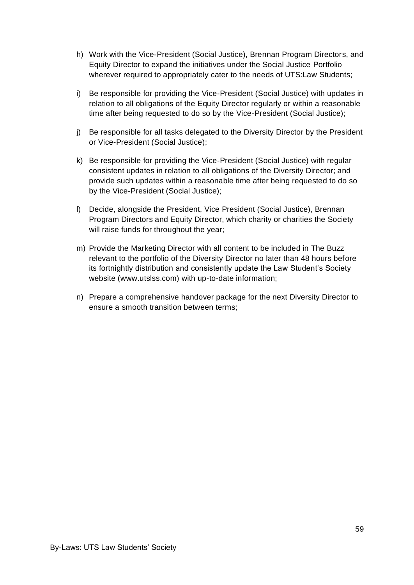- h) Work with the Vice-President (Social Justice), Brennan Program Directors, and Equity Director to expand the initiatives under the Social Justice Portfolio wherever required to appropriately cater to the needs of UTS:Law Students;
- i) Be responsible for providing the Vice-President (Social Justice) with updates in relation to all obligations of the Equity Director regularly or within a reasonable time after being requested to do so by the Vice-President (Social Justice);
- j) Be responsible for all tasks delegated to the Diversity Director by the President or Vice-President (Social Justice);
- k) Be responsible for providing the Vice-President (Social Justice) with regular consistent updates in relation to all obligations of the Diversity Director; and provide such updates within a reasonable time after being requested to do so by the Vice-President (Social Justice);
- l) Decide, alongside the President, Vice President (Social Justice), Brennan Program Directors and Equity Director, which charity or charities the Society will raise funds for throughout the year;
- m) Provide the Marketing Director with all content to be included in The Buzz relevant to the portfolio of the Diversity Director no later than 48 hours before its fortnightly distribution and consistently update the Law Student's Society website (www.utslss.com) with up-to-date information;
- n) Prepare a comprehensive handover package for the next Diversity Director to ensure a smooth transition between terms;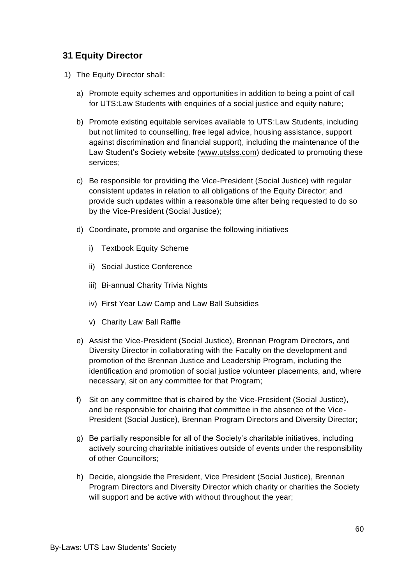# **31 Equity Director**

- 1) The Equity Director shall:
	- a) Promote equity schemes and opportunities in addition to being a point of call for UTS:Law Students with enquiries of a social justice and equity nature;
	- b) Promote existing equitable services available to UTS:Law Students, including but not limited to counselling, free legal advice, housing assistance, support against discrimination and financial support), including the maintenance of the Law Student's Society website (www.utslss.com) dedicated to promoting these services;
	- c) Be responsible for providing the Vice-President (Social Justice) with regular consistent updates in relation to all obligations of the Equity Director; and provide such updates within a reasonable time after being requested to do so by the Vice-President (Social Justice);
	- d) Coordinate, promote and organise the following initiatives
		- i) Textbook Equity Scheme
		- ii) Social Justice Conference
		- iii) Bi-annual Charity Trivia Nights
		- iv) First Year Law Camp and Law Ball Subsidies
		- v) Charity Law Ball Raffle
	- e) Assist the Vice-President (Social Justice), Brennan Program Directors, and Diversity Director in collaborating with the Faculty on the development and promotion of the Brennan Justice and Leadership Program, including the identification and promotion of social justice volunteer placements, and, where necessary, sit on any committee for that Program;
	- f) Sit on any committee that is chaired by the Vice-President (Social Justice), and be responsible for chairing that committee in the absence of the Vice-President (Social Justice), Brennan Program Directors and Diversity Director;
	- g) Be partially responsible for all of the Society's charitable initiatives, including actively sourcing charitable initiatives outside of events under the responsibility of other Councillors;
	- h) Decide, alongside the President, Vice President (Social Justice), Brennan Program Directors and Diversity Director which charity or charities the Society will support and be active with without throughout the year;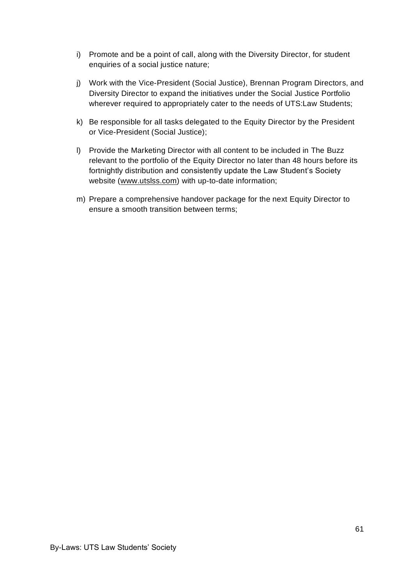- i) Promote and be a point of call, along with the Diversity Director, for student enquiries of a social justice nature;
- j) Work with the Vice-President (Social Justice), Brennan Program Directors, and Diversity Director to expand the initiatives under the Social Justice Portfolio wherever required to appropriately cater to the needs of UTS:Law Students;
- k) Be responsible for all tasks delegated to the Equity Director by the President or Vice-President (Social Justice);
- l) Provide the Marketing Director with all content to be included in The Buzz relevant to the portfolio of the Equity Director no later than 48 hours before its fortnightly distribution and consistently update the Law Student's Society website (www.utslss.com) with up-to-date information;
- m) Prepare a comprehensive handover package for the next Equity Director to ensure a smooth transition between terms;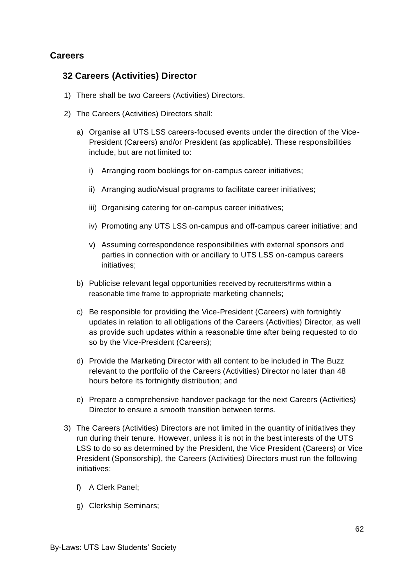# **Careers**

#### **32 Careers (Activities) Director**

- 1) There shall be two Careers (Activities) Directors.
- 2) The Careers (Activities) Directors shall:
	- a) Organise all UTS LSS careers-focused events under the direction of the Vice-President (Careers) and/or President (as applicable). These responsibilities include, but are not limited to:
		- i) Arranging room bookings for on-campus career initiatives;
		- ii) Arranging audio/visual programs to facilitate career initiatives;
		- iii) Organising catering for on-campus career initiatives;
		- iv) Promoting any UTS LSS on-campus and off-campus career initiative; and
		- v) Assuming correspondence responsibilities with external sponsors and parties in connection with or ancillary to UTS LSS on-campus careers initiatives;
	- b) Publicise relevant legal opportunities received by recruiters/firms within a reasonable time frame to appropriate marketing channels;
	- c) Be responsible for providing the Vice-President (Careers) with fortnightly updates in relation to all obligations of the Careers (Activities) Director, as well as provide such updates within a reasonable time after being requested to do so by the Vice-President (Careers);
	- d) Provide the Marketing Director with all content to be included in The Buzz relevant to the portfolio of the Careers (Activities) Director no later than 48 hours before its fortnightly distribution; and
	- e) Prepare a comprehensive handover package for the next Careers (Activities) Director to ensure a smooth transition between terms.
- 3) The Careers (Activities) Directors are not limited in the quantity of initiatives they run during their tenure. However, unless it is not in the best interests of the UTS LSS to do so as determined by the President, the Vice President (Careers) or Vice President (Sponsorship), the Careers (Activities) Directors must run the following initiatives:
	- f) A Clerk Panel;
	- g) Clerkship Seminars;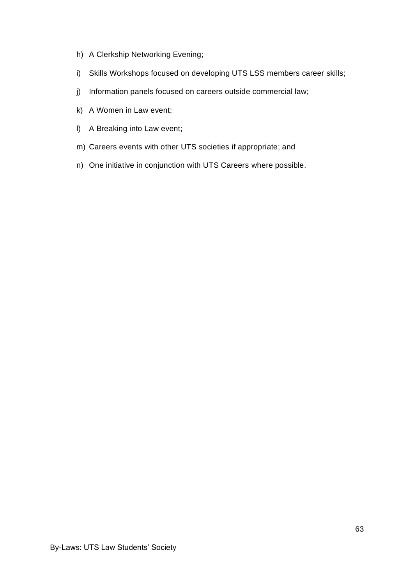- h) A Clerkship Networking Evening;
- i) Skills Workshops focused on developing UTS LSS members career skills;
- j) Information panels focused on careers outside commercial law;
- k) A Women in Law event;
- l) A Breaking into Law event;
- m) Careers events with other UTS societies if appropriate; and
- n) One initiative in conjunction with UTS Careers where possible.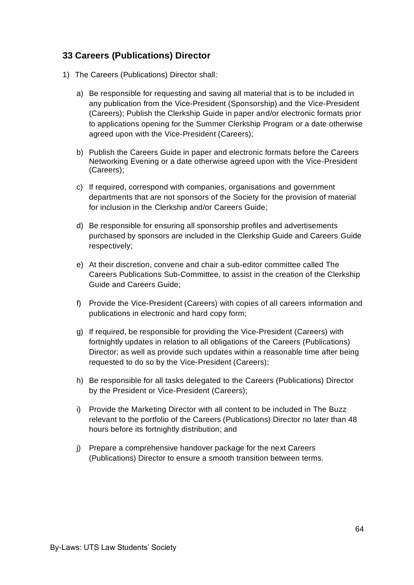# **33 Careers (Publications) Director**

- 1) The Careers (Publications) Director shall:
	- a) Be responsible for requesting and saving all material that is to be included in any publication from the Vice-President (Sponsorship) and the Vice-President (Careers); Publish the Clerkship Guide in paper and/or electronic formats prior to applications opening for the Summer Clerkship Program or a date otherwise agreed upon with the Vice-President (Careers);
	- b) Publish the Careers Guide in paper and electronic formats before the Careers Networking Evening or a date otherwise agreed upon with the Vice-President (Careers);
	- c) If required, correspond with companies, organisations and government departments that are not sponsors of the Society for the provision of material for inclusion in the Clerkship and/or Careers Guide;
	- d) Be responsible for ensuring all sponsorship profiles and advertisements purchased by sponsors are included in the Clerkship Guide and Careers Guide respectively;
	- e) At their discretion, convene and chair a sub-editor committee called The Careers Publications Sub-Committee, to assist in the creation of the Clerkship Guide and Careers Guide;
	- f) Provide the Vice-President (Careers) with copies of all careers information and publications in electronic and hard copy form;
	- g) If required, be responsible for providing the Vice-President (Careers) with fortnightly updates in relation to all obligations of the Careers (Publications) Director; as well as provide such updates within a reasonable time after being requested to do so by the Vice-President (Careers);
	- h) Be responsible for all tasks delegated to the Careers (Publications) Director by the President or Vice-President (Careers);
	- i) Provide the Marketing Director with all content to be included in The Buzz relevant to the portfolio of the Careers (Publications) Director no later than 48 hours before its fortnightly distribution; and
	- j) Prepare a comprehensive handover package for the next Careers (Publications) Director to ensure a smooth transition between terms.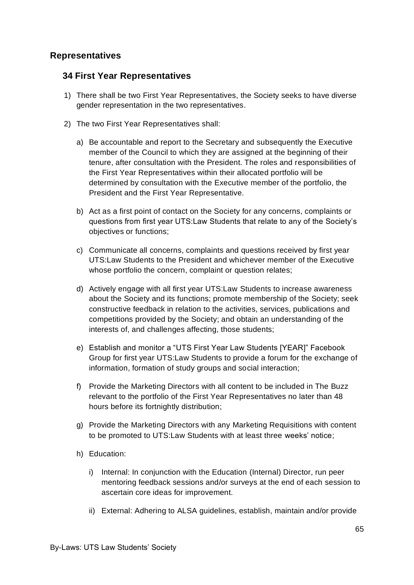#### **Representatives**

#### **34 First Year Representatives**

- 1) There shall be two First Year Representatives, the Society seeks to have diverse gender representation in the two representatives.
- 2) The two First Year Representatives shall:
	- a) Be accountable and report to the Secretary and subsequently the Executive member of the Council to which they are assigned at the beginning of their tenure, after consultation with the President. The roles and responsibilities of the First Year Representatives within their allocated portfolio will be determined by consultation with the Executive member of the portfolio, the President and the First Year Representative.
	- b) Act as a first point of contact on the Society for any concerns, complaints or questions from first year UTS:Law Students that relate to any of the Society's objectives or functions;
	- c) Communicate all concerns, complaints and questions received by first year UTS:Law Students to the President and whichever member of the Executive whose portfolio the concern, complaint or question relates;
	- d) Actively engage with all first year UTS:Law Students to increase awareness about the Society and its functions; promote membership of the Society; seek constructive feedback in relation to the activities, services, publications and competitions provided by the Society; and obtain an understanding of the interests of, and challenges affecting, those students;
	- e) Establish and monitor a "UTS First Year Law Students [YEAR]" Facebook Group for first year UTS:Law Students to provide a forum for the exchange of information, formation of study groups and social interaction;
	- f) Provide the Marketing Directors with all content to be included in The Buzz relevant to the portfolio of the First Year Representatives no later than 48 hours before its fortnightly distribution;
	- g) Provide the Marketing Directors with any Marketing Requisitions with content to be promoted to UTS:Law Students with at least three weeks' notice;
	- h) Education:
		- i) Internal: In conjunction with the Education (Internal) Director, run peer mentoring feedback sessions and/or surveys at the end of each session to ascertain core ideas for improvement.
		- ii) External: Adhering to ALSA guidelines, establish, maintain and/or provide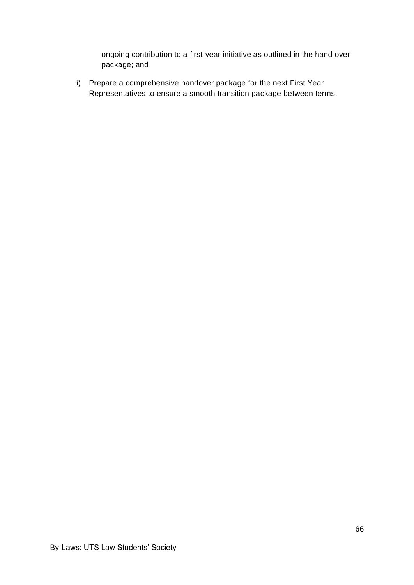ongoing contribution to a first-year initiative as outlined in the hand over package; and

i) Prepare a comprehensive handover package for the next First Year Representatives to ensure a smooth transition package between terms.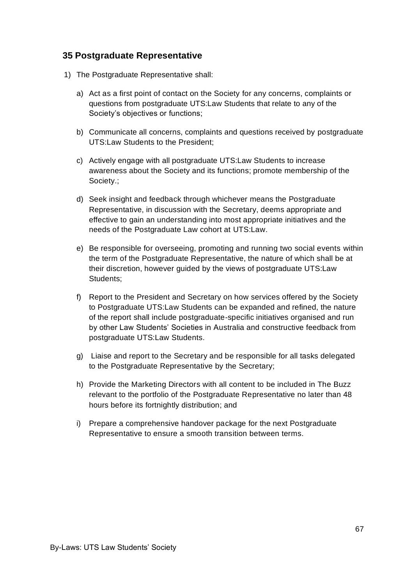#### **35 Postgraduate Representative**

- 1) The Postgraduate Representative shall:
	- a) Act as a first point of contact on the Society for any concerns, complaints or questions from postgraduate UTS:Law Students that relate to any of the Society's objectives or functions;
	- b) Communicate all concerns, complaints and questions received by postgraduate UTS:Law Students to the President;
	- c) Actively engage with all postgraduate UTS:Law Students to increase awareness about the Society and its functions; promote membership of the Society.;
	- d) Seek insight and feedback through whichever means the Postgraduate Representative, in discussion with the Secretary, deems appropriate and effective to gain an understanding into most appropriate initiatives and the needs of the Postgraduate Law cohort at UTS:Law.
	- e) Be responsible for overseeing, promoting and running two social events within the term of the Postgraduate Representative, the nature of which shall be at their discretion, however guided by the views of postgraduate UTS:Law Students;
	- f) Report to the President and Secretary on how services offered by the Society to Postgraduate UTS:Law Students can be expanded and refined, the nature of the report shall include postgraduate-specific initiatives organised and run by other Law Students' Societies in Australia and constructive feedback from postgraduate UTS:Law Students.
	- g) Liaise and report to the Secretary and be responsible for all tasks delegated to the Postgraduate Representative by the Secretary;
	- h) Provide the Marketing Directors with all content to be included in The Buzz relevant to the portfolio of the Postgraduate Representative no later than 48 hours before its fortnightly distribution; and
	- i) Prepare a comprehensive handover package for the next Postgraduate Representative to ensure a smooth transition between terms.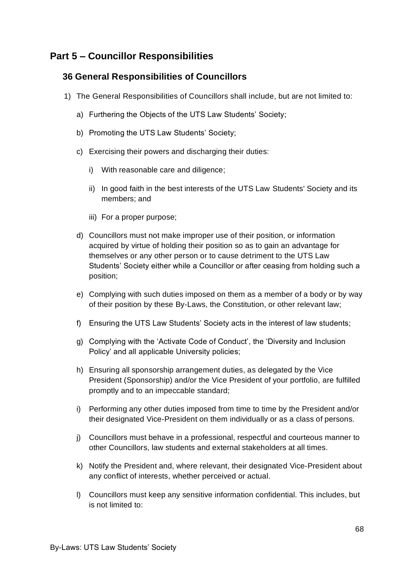# **Part 5 – Councillor Responsibilities**

# **36 General Responsibilities of Councillors**

- 1) The General Responsibilities of Councillors shall include, but are not limited to:
	- a) Furthering the Objects of the UTS Law Students' Society;
	- b) Promoting the UTS Law Students' Society;
	- c) Exercising their powers and discharging their duties:
		- i) With reasonable care and diligence;
		- ii) In good faith in the best interests of the UTS Law Students' Society and its members; and
		- iii) For a proper purpose;
	- d) Councillors must not make improper use of their position, or information acquired by virtue of holding their position so as to gain an advantage for themselves or any other person or to cause detriment to the UTS Law Students' Society either while a Councillor or after ceasing from holding such a position;
	- e) Complying with such duties imposed on them as a member of a body or by way of their position by these By-Laws, the Constitution, or other relevant law;
	- f) Ensuring the UTS Law Students' Society acts in the interest of law students;
	- g) Complying with the 'Activate Code of Conduct', the 'Diversity and Inclusion Policy' and all applicable University policies;
	- h) Ensuring all sponsorship arrangement duties, as delegated by the Vice President (Sponsorship) and/or the Vice President of your portfolio, are fulfilled promptly and to an impeccable standard;
	- i) Performing any other duties imposed from time to time by the President and/or their designated Vice-President on them individually or as a class of persons.
	- j) Councillors must behave in a professional, respectful and courteous manner to other Councillors, law students and external stakeholders at all times.
	- k) Notify the President and, where relevant, their designated Vice-President about any conflict of interests, whether perceived or actual.
	- l) Councillors must keep any sensitive information confidential. This includes, but is not limited to: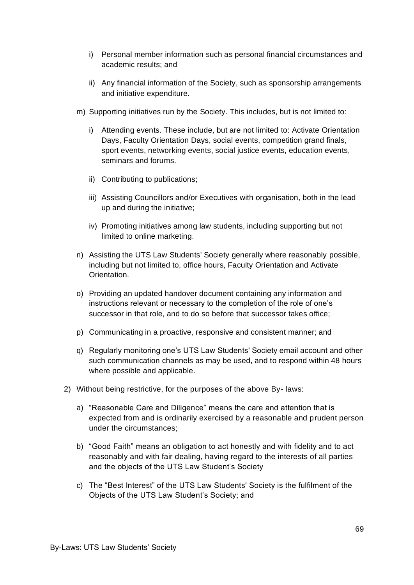- i) Personal member information such as personal financial circumstances and academic results; and
- ii) Any financial information of the Society, such as sponsorship arrangements and initiative expenditure.
- m) Supporting initiatives run by the Society. This includes, but is not limited to:
	- i) Attending events. These include, but are not limited to: Activate Orientation Days, Faculty Orientation Days, social events, competition grand finals, sport events, networking events, social justice events, education events, seminars and forums.
	- ii) Contributing to publications;
	- iii) Assisting Councillors and/or Executives with organisation, both in the lead up and during the initiative;
	- iv) Promoting initiatives among law students, including supporting but not limited to online marketing.
- n) Assisting the UTS Law Students' Society generally where reasonably possible, including but not limited to, office hours, Faculty Orientation and Activate Orientation.
- o) Providing an updated handover document containing any information and instructions relevant or necessary to the completion of the role of one's successor in that role, and to do so before that successor takes office;
- p) Communicating in a proactive, responsive and consistent manner; and
- q) Regularly monitoring one's UTS Law Students' Society email account and other such communication channels as may be used, and to respond within 48 hours where possible and applicable.
- 2) Without being restrictive, for the purposes of the above By- laws:
	- a) "Reasonable Care and Diligence" means the care and attention that is expected from and is ordinarily exercised by a reasonable and prudent person under the circumstances;
	- b) "Good Faith" means an obligation to act honestly and with fidelity and to act reasonably and with fair dealing, having regard to the interests of all parties and the objects of the UTS Law Student's Society
	- c) The "Best Interest" of the UTS Law Students' Society is the fulfilment of the Objects of the UTS Law Student's Society; and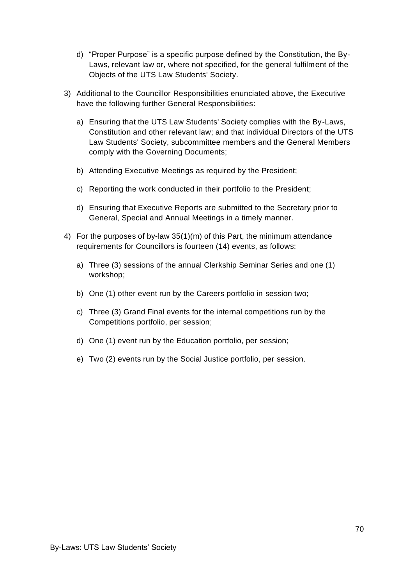- d) "Proper Purpose" is a specific purpose defined by the Constitution, the By-Laws, relevant law or, where not specified, for the general fulfilment of the Objects of the UTS Law Students' Society.
- 3) Additional to the Councillor Responsibilities enunciated above, the Executive have the following further General Responsibilities:
	- a) Ensuring that the UTS Law Students' Society complies with the By-Laws, Constitution and other relevant law; and that individual Directors of the UTS Law Students' Society, subcommittee members and the General Members comply with the Governing Documents;
	- b) Attending Executive Meetings as required by the President;
	- c) Reporting the work conducted in their portfolio to the President;
	- d) Ensuring that Executive Reports are submitted to the Secretary prior to General, Special and Annual Meetings in a timely manner.
- 4) For the purposes of by-law 35(1)(m) of this Part, the minimum attendance requirements for Councillors is fourteen (14) events, as follows:
	- a) Three (3) sessions of the annual Clerkship Seminar Series and one (1) workshop;
	- b) One (1) other event run by the Careers portfolio in session two;
	- c) Three (3) Grand Final events for the internal competitions run by the Competitions portfolio, per session;
	- d) One (1) event run by the Education portfolio, per session;
	- e) Two (2) events run by the Social Justice portfolio, per session.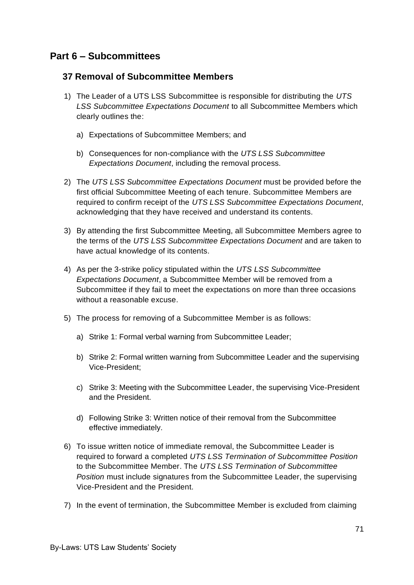# **Part 6 – Subcommittees**

#### **37 Removal of Subcommittee Members**

- 1) The Leader of a UTS LSS Subcommittee is responsible for distributing the *UTS LSS Subcommittee Expectations Document* to all Subcommittee Members which clearly outlines the:
	- a) Expectations of Subcommittee Members; and
	- b) Consequences for non-compliance with the *UTS LSS Subcommittee Expectations Document*, including the removal process.
- 2) The *UTS LSS Subcommittee Expectations Document* must be provided before the first official Subcommittee Meeting of each tenure. Subcommittee Members are required to confirm receipt of the *UTS LSS Subcommittee Expectations Document*, acknowledging that they have received and understand its contents.
- 3) By attending the first Subcommittee Meeting, all Subcommittee Members agree to the terms of the *UTS LSS Subcommittee Expectations Document* and are taken to have actual knowledge of its contents.
- 4) As per the 3-strike policy stipulated within the *UTS LSS Subcommittee Expectations Document*, a Subcommittee Member will be removed from a Subcommittee if they fail to meet the expectations on more than three occasions without a reasonable excuse.
- 5) The process for removing of a Subcommittee Member is as follows:
	- a) Strike 1: Formal verbal warning from Subcommittee Leader;
	- b) Strike 2: Formal written warning from Subcommittee Leader and the supervising Vice-President;
	- c) Strike 3: Meeting with the Subcommittee Leader, the supervising Vice-President and the President.
	- d) Following Strike 3: Written notice of their removal from the Subcommittee effective immediately.
- 6) To issue written notice of immediate removal, the Subcommittee Leader is required to forward a completed *UTS LSS Termination of Subcommittee Position* to the Subcommittee Member. The *UTS LSS Termination of Subcommittee Position* must include signatures from the Subcommittee Leader, the supervising Vice-President and the President.
- 7) In the event of termination, the Subcommittee Member is excluded from claiming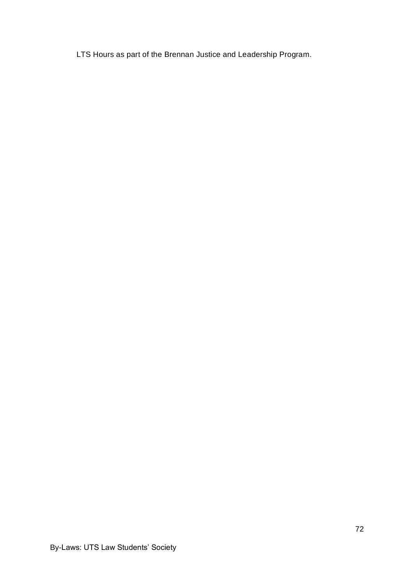LTS Hours as part of the Brennan Justice and Leadership Program.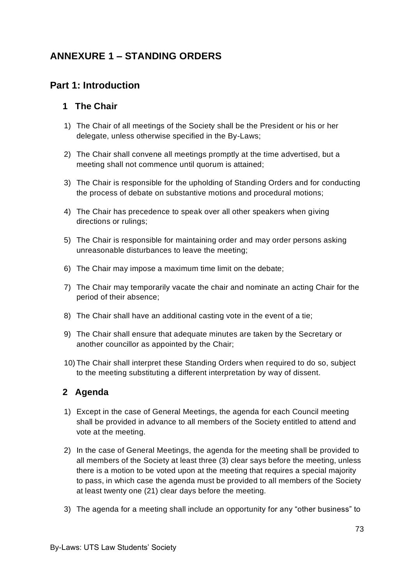# **ANNEXURE 1 – STANDING ORDERS**

# **Part 1: Introduction**

### **1 The Chair**

- 1) The Chair of all meetings of the Society shall be the President or his or her delegate, unless otherwise specified in the By-Laws;
- 2) The Chair shall convene all meetings promptly at the time advertised, but a meeting shall not commence until quorum is attained;
- 3) The Chair is responsible for the upholding of Standing Orders and for conducting the process of debate on substantive motions and procedural motions;
- 4) The Chair has precedence to speak over all other speakers when giving directions or rulings;
- 5) The Chair is responsible for maintaining order and may order persons asking unreasonable disturbances to leave the meeting;
- 6) The Chair may impose a maximum time limit on the debate;
- 7) The Chair may temporarily vacate the chair and nominate an acting Chair for the period of their absence;
- 8) The Chair shall have an additional casting vote in the event of a tie;
- 9) The Chair shall ensure that adequate minutes are taken by the Secretary or another councillor as appointed by the Chair;
- 10) The Chair shall interpret these Standing Orders when required to do so, subject to the meeting substituting a different interpretation by way of dissent.

### **2 Agenda**

- 1) Except in the case of General Meetings, the agenda for each Council meeting shall be provided in advance to all members of the Society entitled to attend and vote at the meeting.
- 2) In the case of General Meetings, the agenda for the meeting shall be provided to all members of the Society at least three (3) clear says before the meeting, unless there is a motion to be voted upon at the meeting that requires a special majority to pass, in which case the agenda must be provided to all members of the Society at least twenty one (21) clear days before the meeting.
- 3) The agenda for a meeting shall include an opportunity for any "other business" to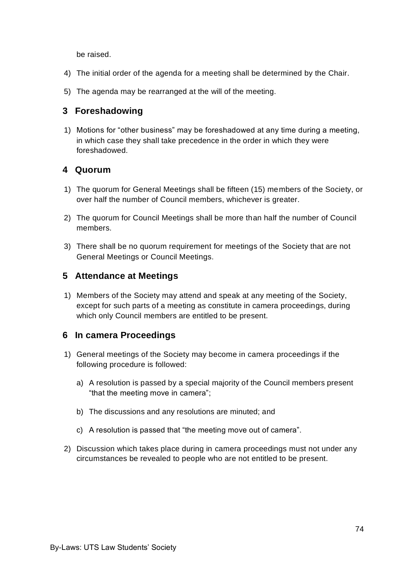be raised.

- 4) The initial order of the agenda for a meeting shall be determined by the Chair.
- 5) The agenda may be rearranged at the will of the meeting.

#### **3 Foreshadowing**

1) Motions for "other business" may be foreshadowed at any time during a meeting, in which case they shall take precedence in the order in which they were foreshadowed.

#### **4 Quorum**

- 1) The quorum for General Meetings shall be fifteen (15) members of the Society, or over half the number of Council members, whichever is greater.
- 2) The quorum for Council Meetings shall be more than half the number of Council members.
- 3) There shall be no quorum requirement for meetings of the Society that are not General Meetings or Council Meetings.

#### **5 Attendance at Meetings**

1) Members of the Society may attend and speak at any meeting of the Society, except for such parts of a meeting as constitute in camera proceedings, during which only Council members are entitled to be present.

#### **6 In camera Proceedings**

- 1) General meetings of the Society may become in camera proceedings if the following procedure is followed:
	- a) A resolution is passed by a special majority of the Council members present "that the meeting move in camera";
	- b) The discussions and any resolutions are minuted; and
	- c) A resolution is passed that "the meeting move out of camera".
- 2) Discussion which takes place during in camera proceedings must not under any circumstances be revealed to people who are not entitled to be present.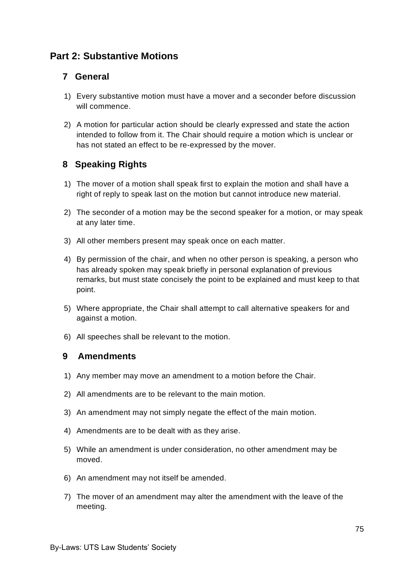# **Part 2: Substantive Motions**

#### **7 General**

- 1) Every substantive motion must have a mover and a seconder before discussion will commence.
- 2) A motion for particular action should be clearly expressed and state the action intended to follow from it. The Chair should require a motion which is unclear or has not stated an effect to be re-expressed by the mover.

## **8 Speaking Rights**

- 1) The mover of a motion shall speak first to explain the motion and shall have a right of reply to speak last on the motion but cannot introduce new material.
- 2) The seconder of a motion may be the second speaker for a motion, or may speak at any later time.
- 3) All other members present may speak once on each matter.
- 4) By permission of the chair, and when no other person is speaking, a person who has already spoken may speak briefly in personal explanation of previous remarks, but must state concisely the point to be explained and must keep to that point.
- 5) Where appropriate, the Chair shall attempt to call alternative speakers for and against a motion.
- 6) All speeches shall be relevant to the motion.

#### **9 Amendments**

- 1) Any member may move an amendment to a motion before the Chair.
- 2) All amendments are to be relevant to the main motion.
- 3) An amendment may not simply negate the effect of the main motion.
- 4) Amendments are to be dealt with as they arise.
- 5) While an amendment is under consideration, no other amendment may be moved.
- 6) An amendment may not itself be amended.
- 7) The mover of an amendment may alter the amendment with the leave of the meeting.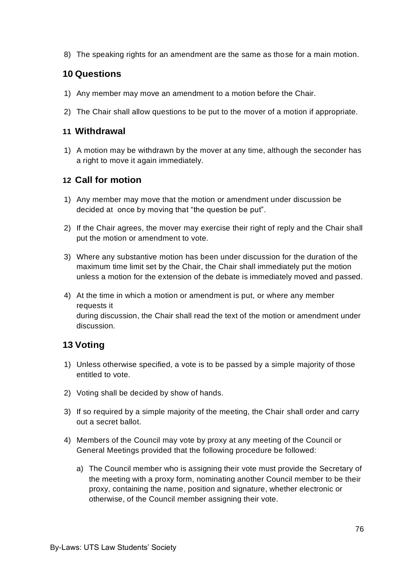8) The speaking rights for an amendment are the same as those for a main motion.

### **10 Questions**

- 1) Any member may move an amendment to a motion before the Chair.
- 2) The Chair shall allow questions to be put to the mover of a motion if appropriate.

#### **11 Withdrawal**

1) A motion may be withdrawn by the mover at any time, although the seconder has a right to move it again immediately.

### **12 Call for motion**

- 1) Any member may move that the motion or amendment under discussion be decided at once by moving that "the question be put".
- 2) If the Chair agrees, the mover may exercise their right of reply and the Chair shall put the motion or amendment to vote.
- 3) Where any substantive motion has been under discussion for the duration of the maximum time limit set by the Chair, the Chair shall immediately put the motion unless a motion for the extension of the debate is immediately moved and passed.
- 4) At the time in which a motion or amendment is put, or where any member requests it during discussion, the Chair shall read the text of the motion or amendment under discussion.

## **13 Voting**

- 1) Unless otherwise specified, a vote is to be passed by a simple majority of those entitled to vote.
- 2) Voting shall be decided by show of hands.
- 3) If so required by a simple majority of the meeting, the Chair shall order and carry out a secret ballot.
- 4) Members of the Council may vote by proxy at any meeting of the Council or General Meetings provided that the following procedure be followed:
	- a) The Council member who is assigning their vote must provide the Secretary of the meeting with a proxy form, nominating another Council member to be their proxy, containing the name, position and signature, whether electronic or otherwise, of the Council member assigning their vote.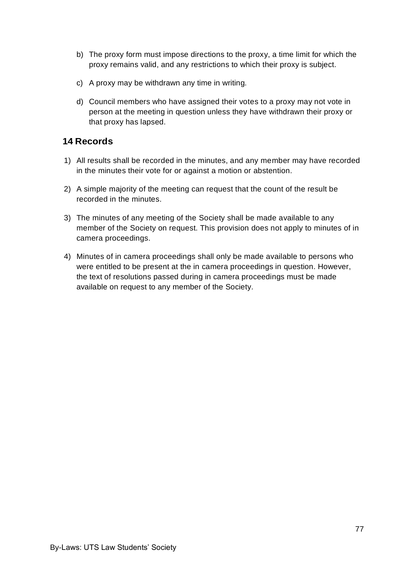- b) The proxy form must impose directions to the proxy, a time limit for which the proxy remains valid, and any restrictions to which their proxy is subject.
- c) A proxy may be withdrawn any time in writing.
- d) Council members who have assigned their votes to a proxy may not vote in person at the meeting in question unless they have withdrawn their proxy or that proxy has lapsed.

### **14 Records**

- 1) All results shall be recorded in the minutes, and any member may have recorded in the minutes their vote for or against a motion or abstention.
- 2) A simple majority of the meeting can request that the count of the result be recorded in the minutes.
- 3) The minutes of any meeting of the Society shall be made available to any member of the Society on request. This provision does not apply to minutes of in camera proceedings.
- 4) Minutes of in camera proceedings shall only be made available to persons who were entitled to be present at the in camera proceedings in question. However, the text of resolutions passed during in camera proceedings must be made available on request to any member of the Society.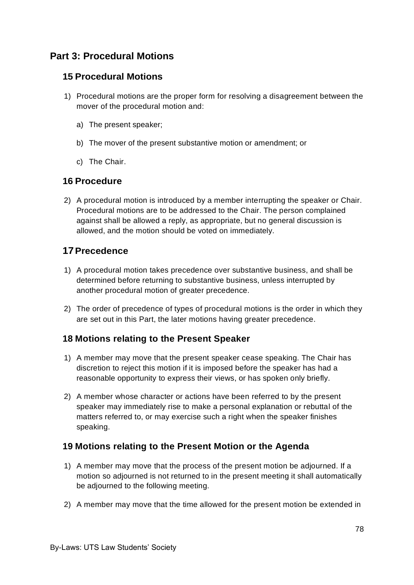# **Part 3: Procedural Motions**

### **15 Procedural Motions**

- 1) Procedural motions are the proper form for resolving a disagreement between the mover of the procedural motion and:
	- a) The present speaker;
	- b) The mover of the present substantive motion or amendment; or
	- c) The Chair.

## **16 Procedure**

2) A procedural motion is introduced by a member interrupting the speaker or Chair. Procedural motions are to be addressed to the Chair. The person complained against shall be allowed a reply, as appropriate, but no general discussion is allowed, and the motion should be voted on immediately.

## **17Precedence**

- 1) A procedural motion takes precedence over substantive business, and shall be determined before returning to substantive business, unless interrupted by another procedural motion of greater precedence.
- 2) The order of precedence of types of procedural motions is the order in which they are set out in this Part, the later motions having greater precedence.

## **18 Motions relating to the Present Speaker**

- 1) A member may move that the present speaker cease speaking. The Chair has discretion to reject this motion if it is imposed before the speaker has had a reasonable opportunity to express their views, or has spoken only briefly.
- 2) A member whose character or actions have been referred to by the present speaker may immediately rise to make a personal explanation or rebuttal of the matters referred to, or may exercise such a right when the speaker finishes speaking.

## **19 Motions relating to the Present Motion or the Agenda**

- 1) A member may move that the process of the present motion be adjourned. If a motion so adjourned is not returned to in the present meeting it shall automatically be adjourned to the following meeting.
- 2) A member may move that the time allowed for the present motion be extended in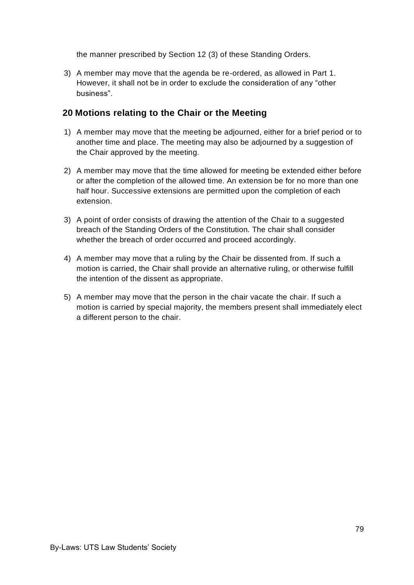the manner prescribed by Section 12 (3) of these Standing Orders.

3) A member may move that the agenda be re-ordered, as allowed in Part 1. However, it shall not be in order to exclude the consideration of any "other business".

### **20 Motions relating to the Chair or the Meeting**

- 1) A member may move that the meeting be adjourned, either for a brief period or to another time and place. The meeting may also be adjourned by a suggestion of the Chair approved by the meeting.
- 2) A member may move that the time allowed for meeting be extended either before or after the completion of the allowed time. An extension be for no more than one half hour. Successive extensions are permitted upon the completion of each extension.
- 3) A point of order consists of drawing the attention of the Chair to a suggested breach of the Standing Orders of the Constitution. The chair shall consider whether the breach of order occurred and proceed accordingly.
- 4) A member may move that a ruling by the Chair be dissented from. If such a motion is carried, the Chair shall provide an alternative ruling, or otherwise fulfill the intention of the dissent as appropriate.
- 5) A member may move that the person in the chair vacate the chair. If such a motion is carried by special majority, the members present shall immediately elect a different person to the chair.